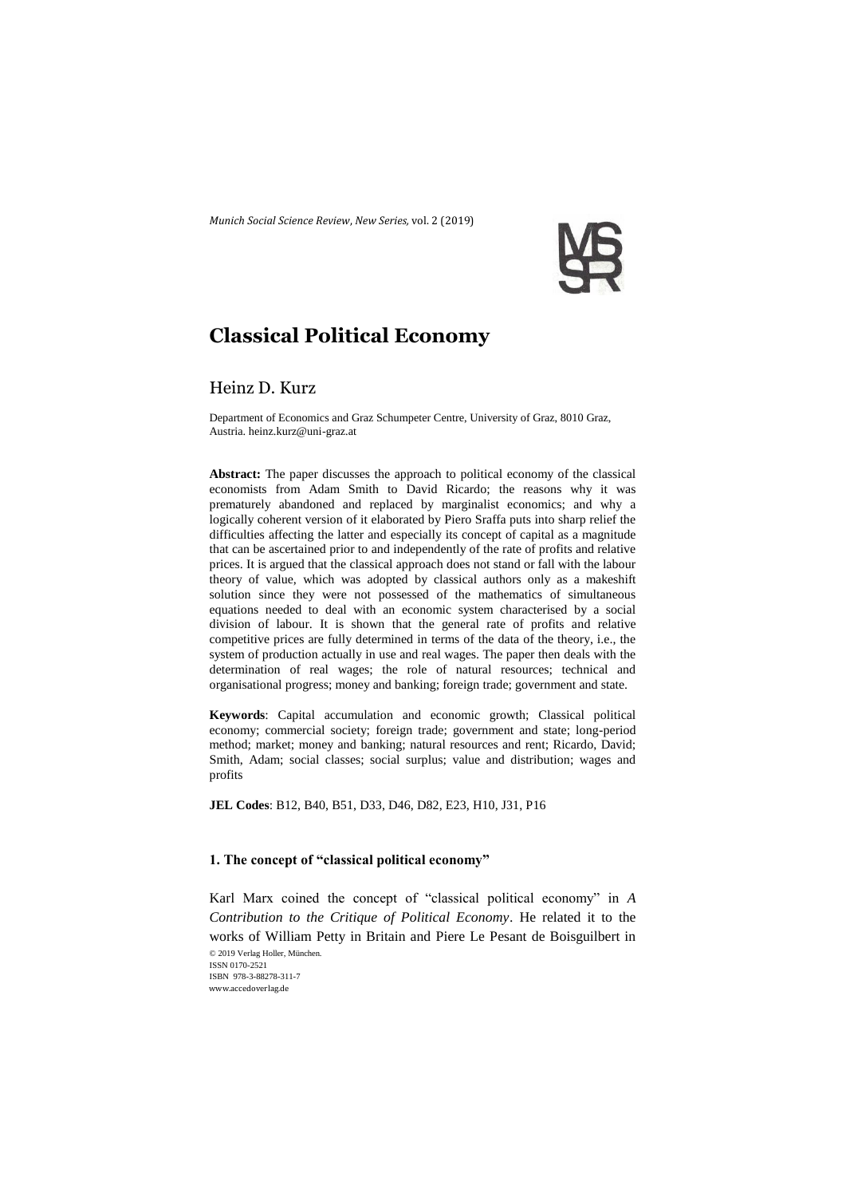*Munich Social Science Review*, *New Series,* vol. 2 (2019)



# **Classical Political Economy**

# Heinz D. Kurz

Department of Economics and Graz Schumpeter Centre, University of Graz, 8010 Graz, Austria. heinz.kurz@uni-graz.at

**Abstract:** The paper discusses the approach to political economy of the classical economists from Adam Smith to David Ricardo; the reasons why it was prematurely abandoned and replaced by marginalist economics; and why a logically coherent version of it elaborated by Piero Sraffa puts into sharp relief the difficulties affecting the latter and especially its concept of capital as a magnitude that can be ascertained prior to and independently of the rate of profits and relative prices. It is argued that the classical approach does not stand or fall with the labour theory of value, which was adopted by classical authors only as a makeshift solution since they were not possessed of the mathematics of simultaneous equations needed to deal with an economic system characterised by a social division of labour. It is shown that the general rate of profits and relative competitive prices are fully determined in terms of the data of the theory, i.e., the system of production actually in use and real wages. The paper then deals with the determination of real wages; the role of natural resources; technical and organisational progress; money and banking; foreign trade; government and state.

**Keywords**: Capital accumulation and economic growth; Classical political economy; commercial society; foreign trade; government and state; long-period method; market; money and banking; natural resources and rent; Ricardo, David; Smith, Adam; social classes; social surplus; value and distribution; wages and profits

**JEL Codes**: B12, B40, B51, D33, D46, D82, E23, H10, J31, P16

# **1. The concept of "classical political economy"**

© 2019 Verlag Holler, München. Karl Marx coined the concept of "classical political economy" in *A Contribution to the Critique of Political Economy*. He related it to the works of William Petty in Britain and Piere Le Pesant de Boisguilbert in

ISSN 0170-2521 ISBN 978-3-88278-311-7 www.accedoverlag.de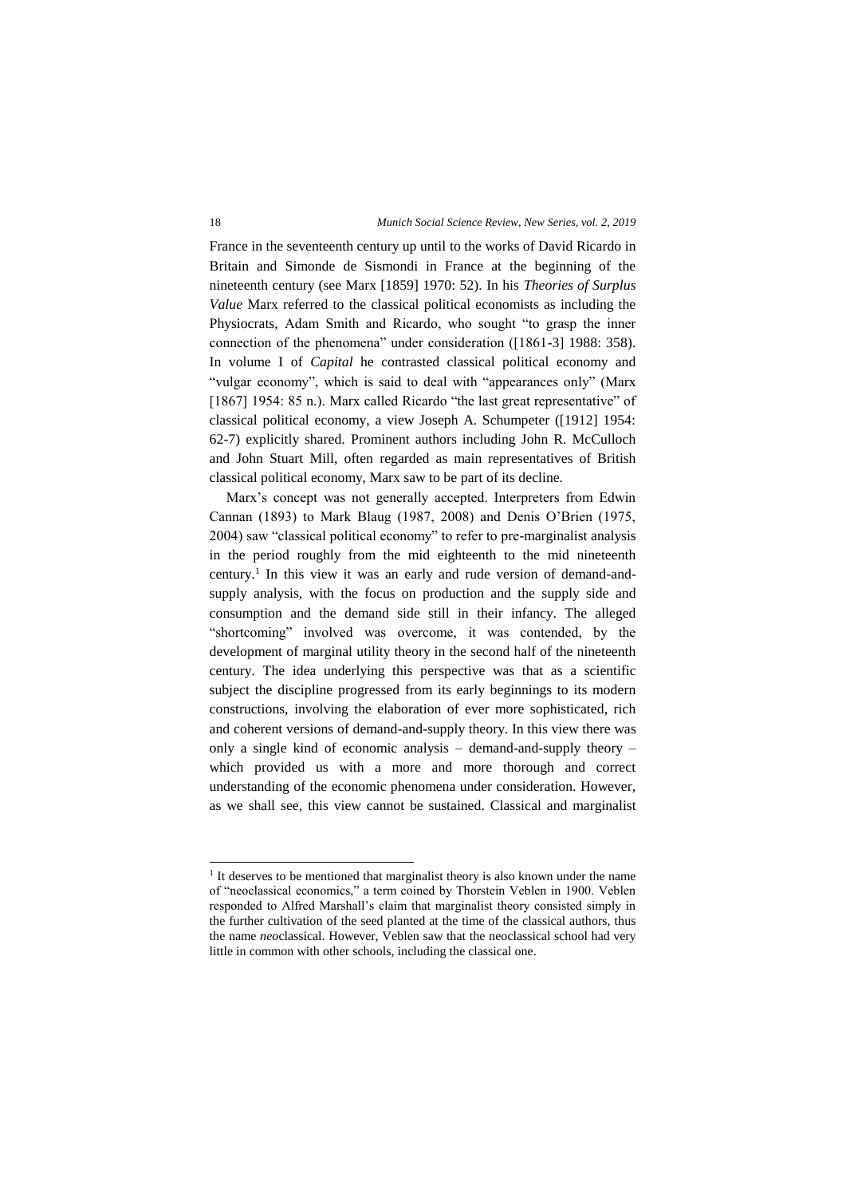France in the seventeenth century up until to the works of David Ricardo in Britain and Simonde de Sismondi in France at the beginning of the nineteenth century (see Marx [1859] 1970: 52). In his *Theories of Surplus Value* Marx referred to the classical political economists as including the Physiocrats, Adam Smith and Ricardo, who sought "to grasp the inner connection of the phenomena" under consideration ([1861-3] 1988: 358). In volume I of *Capital* he contrasted classical political economy and "vulgar economy", which is said to deal with "appearances only" (Marx [1867] 1954: 85 n.). Marx called Ricardo "the last great representative" of classical political economy, a view Joseph A. Schumpeter ([1912] 1954: 62-7) explicitly shared. Prominent authors including John R. McCulloch and John Stuart Mill, often regarded as main representatives of British classical political economy, Marx saw to be part of its decline.

Marx's concept was not generally accepted. Interpreters from Edwin Cannan (1893) to Mark Blaug (1987, 2008) and Denis O'Brien (1975, 2004) saw "classical political economy" to refer to pre-marginalist analysis in the period roughly from the mid eighteenth to the mid nineteenth century.<sup>1</sup> In this view it was an early and rude version of demand-andsupply analysis, with the focus on production and the supply side and consumption and the demand side still in their infancy. The alleged "shortcoming" involved was overcome, it was contended, by the development of marginal utility theory in the second half of the nineteenth century. The idea underlying this perspective was that as a scientific subject the discipline progressed from its early beginnings to its modern constructions, involving the elaboration of ever more sophisticated, rich and coherent versions of demand-and-supply theory. In this view there was only a single kind of economic analysis – demand-and-supply theory – which provided us with a more and more thorough and correct understanding of the economic phenomena under consideration. However, as we shall see, this view cannot be sustained. Classical and marginalist

-

<sup>&</sup>lt;sup>1</sup> It deserves to be mentioned that marginalist theory is also known under the name of "neoclassical economics," a term coined by Thorstein Veblen in 1900. Veblen responded to Alfred Marshall's claim that marginalist theory consisted simply in the further cultivation of the seed planted at the time of the classical authors, thus the name *neo*classical. However, Veblen saw that the neoclassical school had very little in common with other schools, including the classical one.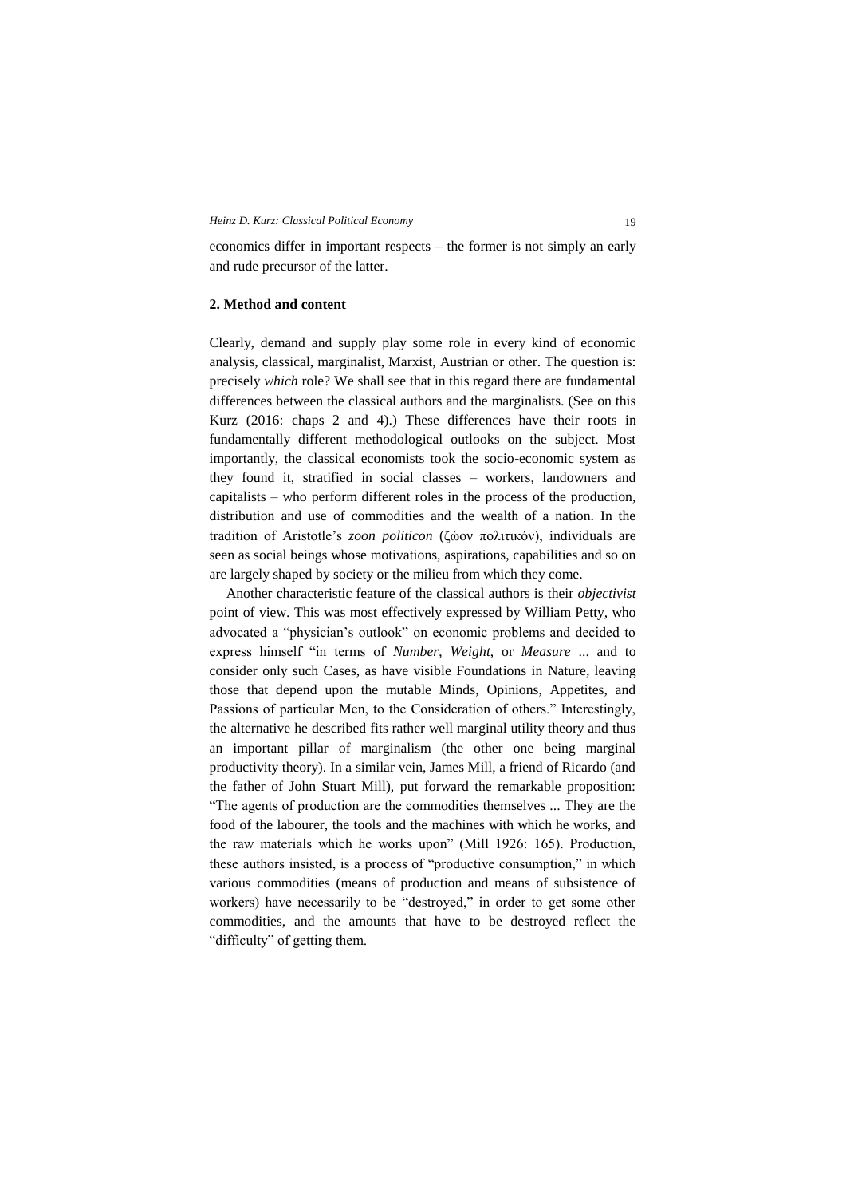economics differ in important respects – the former is not simply an early and rude precursor of the latter.

# **2. Method and content**

Clearly, demand and supply play some role in every kind of economic analysis, classical, marginalist, Marxist, Austrian or other. The question is: precisely *which* role? We shall see that in this regard there are fundamental differences between the classical authors and the marginalists. (See on this Kurz (2016: chaps 2 and 4).) These differences have their roots in fundamentally different methodological outlooks on the subject. Most importantly, the classical economists took the socio-economic system as they found it, stratified in social classes – workers, landowners and capitalists – who perform different roles in the process of the production, distribution and use of commodities and the wealth of a nation. In the tradition of Aristotle's *zoon politicon* (ζώον πολιτικόν), individuals are seen as social beings whose motivations, aspirations, capabilities and so on are largely shaped by society or the milieu from which they come.

Another characteristic feature of the classical authors is their *objectivist* point of view. This was most effectively expressed by William Petty, who advocated a "physician's outlook" on economic problems and decided to express himself "in terms of *Number*, *Weight*, or *Measure* ... and to consider only such Cases, as have visible Foundations in Nature, leaving those that depend upon the mutable Minds, Opinions, Appetites, and Passions of particular Men, to the Consideration of others." Interestingly, the alternative he described fits rather well marginal utility theory and thus an important pillar of marginalism (the other one being marginal productivity theory). In a similar vein, James Mill, a friend of Ricardo (and the father of John Stuart Mill), put forward the remarkable proposition: "The agents of production are the commodities themselves ... They are the food of the labourer, the tools and the machines with which he works, and the raw materials which he works upon" (Mill 1926: 165). Production, these authors insisted, is a process of "productive consumption," in which various commodities (means of production and means of subsistence of workers) have necessarily to be "destroyed," in order to get some other commodities, and the amounts that have to be destroyed reflect the "difficulty" of getting them.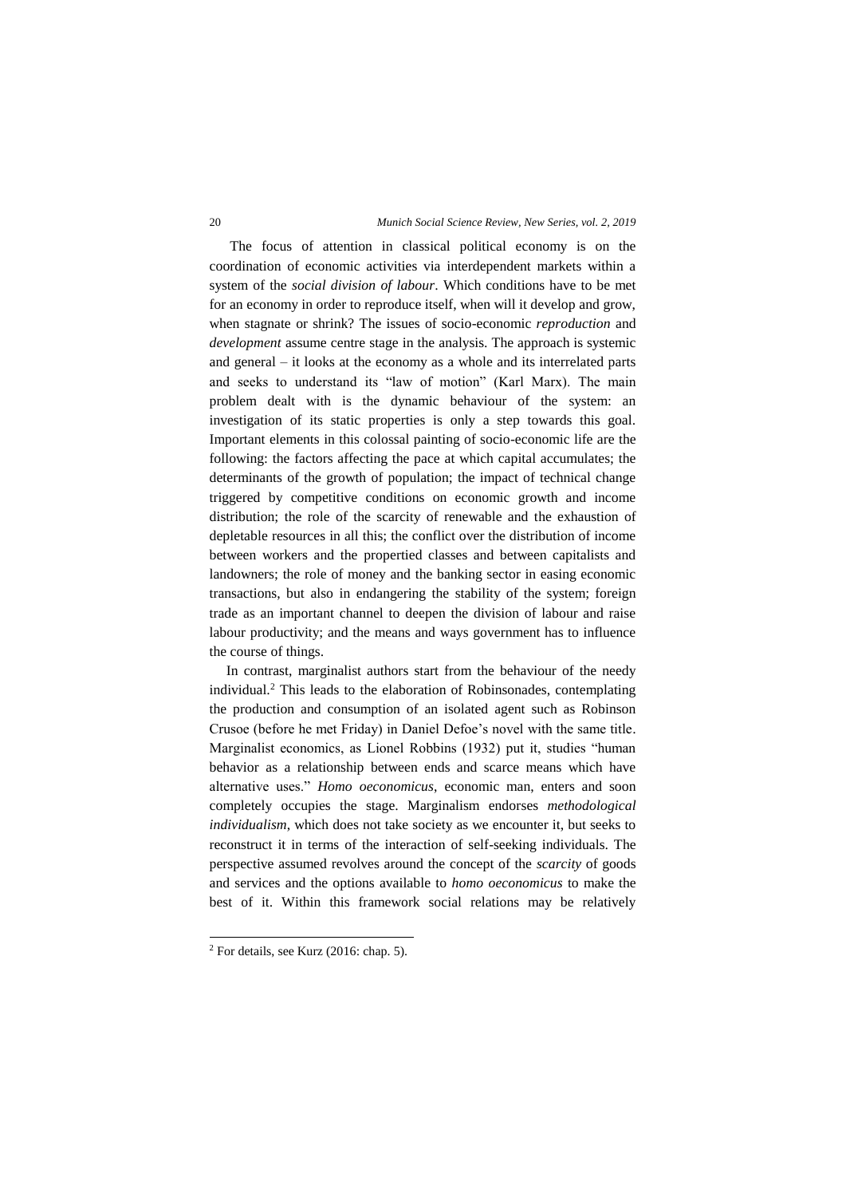### 20 *Munich Social Science Review, New Series, vol. 2, 2019*

The focus of attention in classical political economy is on the coordination of economic activities via interdependent markets within a system of the *social division of labour*. Which conditions have to be met for an economy in order to reproduce itself, when will it develop and grow, when stagnate or shrink? The issues of socio-economic *reproduction* and *development* assume centre stage in the analysis. The approach is systemic and general – it looks at the economy as a whole and its interrelated parts and seeks to understand its "law of motion" (Karl Marx). The main problem dealt with is the dynamic behaviour of the system: an investigation of its static properties is only a step towards this goal. Important elements in this colossal painting of socio-economic life are the following: the factors affecting the pace at which capital accumulates; the determinants of the growth of population; the impact of technical change triggered by competitive conditions on economic growth and income distribution; the role of the scarcity of renewable and the exhaustion of depletable resources in all this; the conflict over the distribution of income between workers and the propertied classes and between capitalists and landowners; the role of money and the banking sector in easing economic transactions, but also in endangering the stability of the system; foreign trade as an important channel to deepen the division of labour and raise labour productivity; and the means and ways government has to influence the course of things.

In contrast, marginalist authors start from the behaviour of the needy individual.<sup>2</sup> This leads to the elaboration of Robinsonades, contemplating the production and consumption of an isolated agent such as Robinson Crusoe (before he met Friday) in Daniel Defoe's novel with the same title. Marginalist economics, as Lionel Robbins (1932) put it, studies "human behavior as a relationship between ends and scarce means which have alternative uses." *Homo oeconomicus*, economic man, enters and soon completely occupies the stage. Marginalism endorses *methodological individualism*, which does not take society as we encounter it, but seeks to reconstruct it in terms of the interaction of self-seeking individuals. The perspective assumed revolves around the concept of the *scarcity* of goods and services and the options available to *homo oeconomicus* to make the best of it. Within this framework social relations may be relatively

1

 $2$  For details, see Kurz (2016: chap. 5).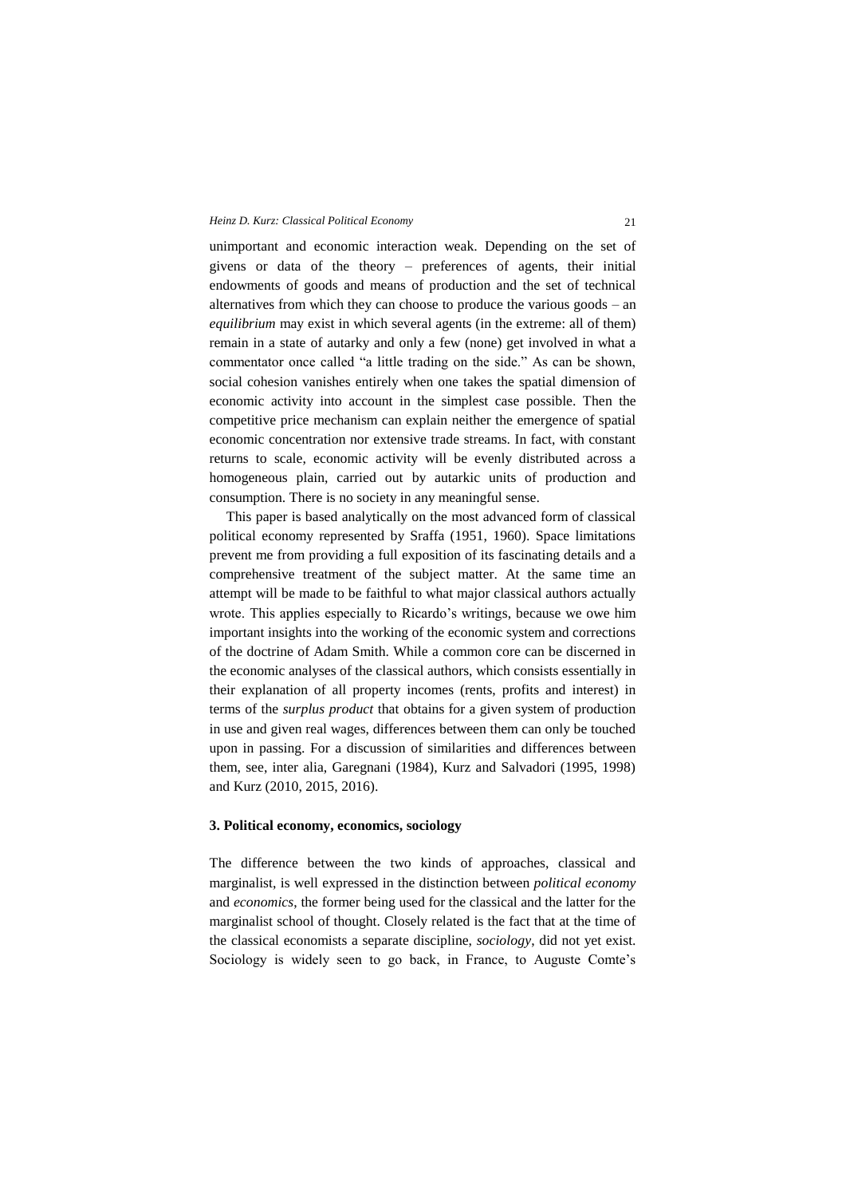unimportant and economic interaction weak. Depending on the set of givens or data of the theory – preferences of agents, their initial endowments of goods and means of production and the set of technical alternatives from which they can choose to produce the various goods – an *equilibrium* may exist in which several agents (in the extreme: all of them) remain in a state of autarky and only a few (none) get involved in what a commentator once called "a little trading on the side." As can be shown, social cohesion vanishes entirely when one takes the spatial dimension of economic activity into account in the simplest case possible. Then the competitive price mechanism can explain neither the emergence of spatial economic concentration nor extensive trade streams. In fact, with constant returns to scale, economic activity will be evenly distributed across a homogeneous plain, carried out by autarkic units of production and consumption. There is no society in any meaningful sense.

This paper is based analytically on the most advanced form of classical political economy represented by Sraffa (1951, 1960). Space limitations prevent me from providing a full exposition of its fascinating details and a comprehensive treatment of the subject matter. At the same time an attempt will be made to be faithful to what major classical authors actually wrote. This applies especially to Ricardo's writings, because we owe him important insights into the working of the economic system and corrections of the doctrine of Adam Smith. While a common core can be discerned in the economic analyses of the classical authors, which consists essentially in their explanation of all property incomes (rents, profits and interest) in terms of the *surplus product* that obtains for a given system of production in use and given real wages, differences between them can only be touched upon in passing. For a discussion of similarities and differences between them, see, inter alia, Garegnani (1984), Kurz and Salvadori (1995, 1998) and Kurz (2010, 2015, 2016).

## **3. Political economy, economics, sociology**

The difference between the two kinds of approaches, classical and marginalist, is well expressed in the distinction between *political economy* and *economics*, the former being used for the classical and the latter for the marginalist school of thought. Closely related is the fact that at the time of the classical economists a separate discipline, *sociology*, did not yet exist. Sociology is widely seen to go back, in France, to Auguste Comte's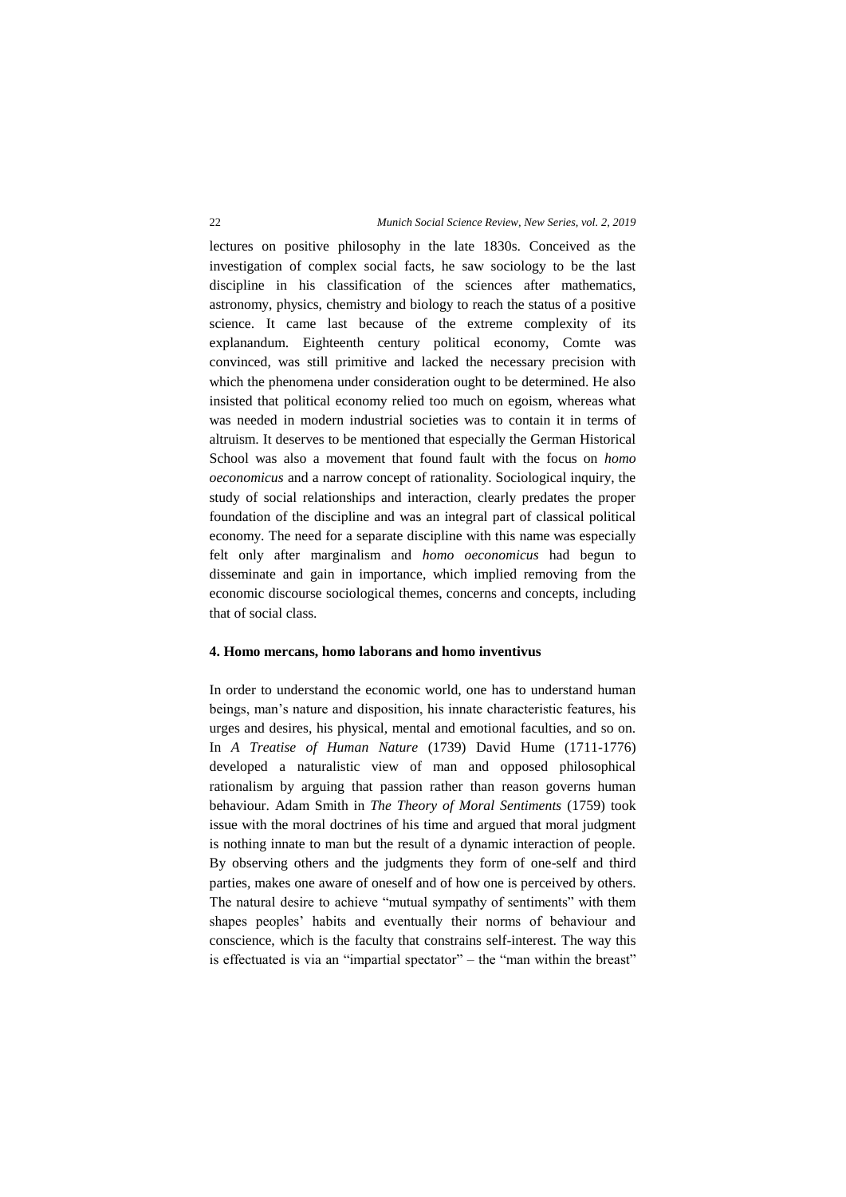lectures on positive philosophy in the late 1830s. Conceived as the investigation of complex social facts, he saw sociology to be the last discipline in his classification of the sciences after mathematics, astronomy, physics, chemistry and biology to reach the status of a positive science. It came last because of the extreme complexity of its explanandum. Eighteenth century political economy, Comte was convinced, was still primitive and lacked the necessary precision with which the phenomena under consideration ought to be determined. He also insisted that political economy relied too much on egoism, whereas what was needed in modern industrial societies was to contain it in terms of altruism. It deserves to be mentioned that especially the German Historical School was also a movement that found fault with the focus on *homo oeconomicus* and a narrow concept of rationality. Sociological inquiry, the study of social relationships and interaction, clearly predates the proper foundation of the discipline and was an integral part of classical political economy. The need for a separate discipline with this name was especially felt only after marginalism and *homo oeconomicus* had begun to disseminate and gain in importance, which implied removing from the economic discourse sociological themes, concerns and concepts, including that of social class.

### **4. Homo mercans, homo laborans and homo inventivus**

In order to understand the economic world, one has to understand human beings, man's nature and disposition, his innate characteristic features, his urges and desires, his physical, mental and emotional faculties, and so on. In *A Treatise of Human Nature* (1739) David Hume (1711-1776) developed a naturalistic view of man and opposed philosophical rationalism by arguing that passion rather than reason governs human behaviour. Adam Smith in *The Theory of Moral Sentiments* (1759) took issue with the moral doctrines of his time and argued that moral judgment is nothing innate to man but the result of a dynamic interaction of people. By observing others and the judgments they form of one-self and third parties, makes one aware of oneself and of how one is perceived by others. The natural desire to achieve "mutual sympathy of sentiments" with them shapes peoples' habits and eventually their norms of behaviour and conscience, which is the faculty that constrains self-interest. The way this is effectuated is via an "impartial spectator" – the "man within the breast"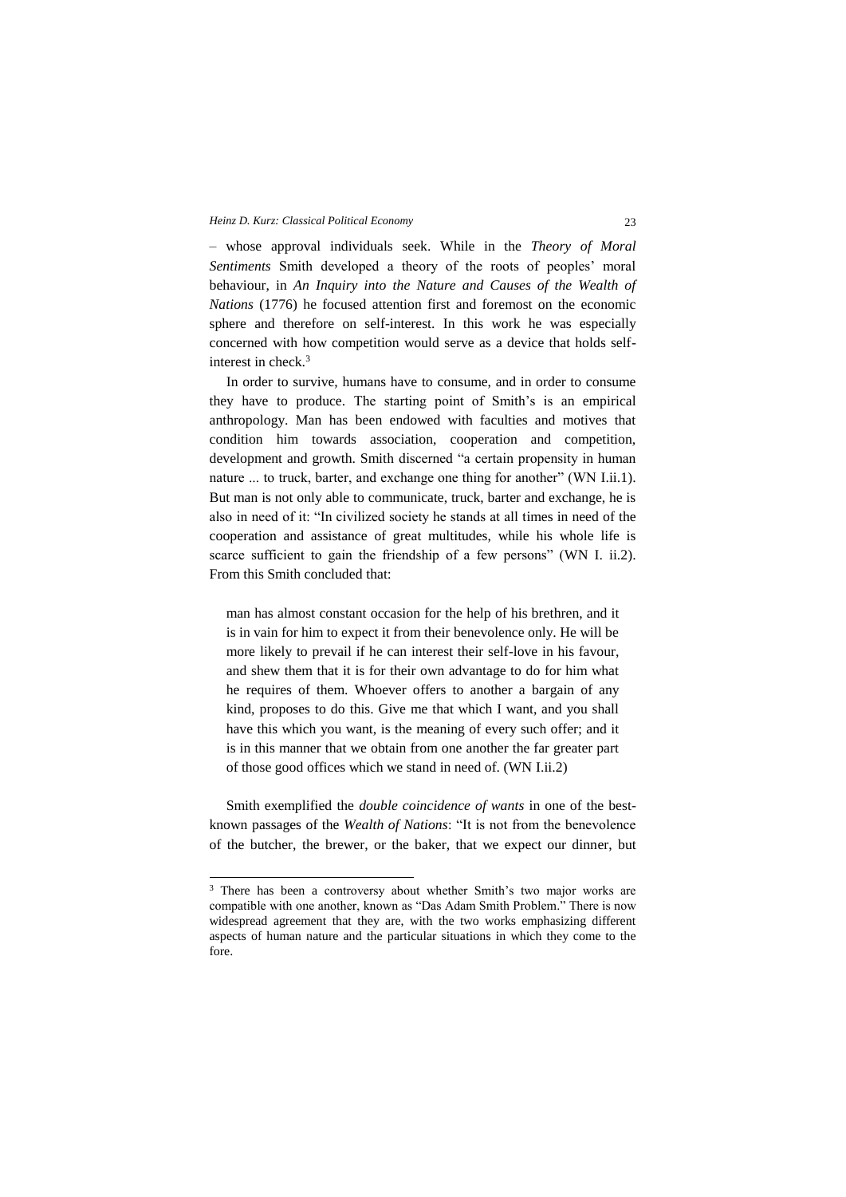– whose approval individuals seek. While in the *Theory of Moral Sentiments* Smith developed a theory of the roots of peoples' moral behaviour, in *An Inquiry into the Nature and Causes of the Wealth of Nations* (1776) he focused attention first and foremost on the economic sphere and therefore on self-interest. In this work he was especially concerned with how competition would serve as a device that holds selfinterest in check.<sup>3</sup>

In order to survive, humans have to consume, and in order to consume they have to produce. The starting point of Smith's is an empirical anthropology. Man has been endowed with faculties and motives that condition him towards association, cooperation and competition, development and growth. Smith discerned "a certain propensity in human nature ... to truck, barter, and exchange one thing for another" (WN I.ii.1). But man is not only able to communicate, truck, barter and exchange, he is also in need of it: "In civilized society he stands at all times in need of the cooperation and assistance of great multitudes, while his whole life is scarce sufficient to gain the friendship of a few persons" (WN I. ii.2). From this Smith concluded that:

man has almost constant occasion for the help of his brethren, and it is in vain for him to expect it from their benevolence only. He will be more likely to prevail if he can interest their self-love in his favour, and shew them that it is for their own advantage to do for him what he requires of them. Whoever offers to another a bargain of any kind, proposes to do this. Give me that which I want, and you shall have this which you want, is the meaning of every such offer; and it is in this manner that we obtain from one another the far greater part of those good offices which we stand in need of. (WN I.ii.2)

Smith exemplified the *double coincidence of wants* in one of the bestknown passages of the *Wealth of Nations*: "It is not from the benevolence of the butcher, the brewer, or the baker, that we expect our dinner, but

-

<sup>&</sup>lt;sup>3</sup> There has been a controversy about whether Smith's two major works are compatible with one another, known as "Das Adam Smith Problem." There is now widespread agreement that they are, with the two works emphasizing different aspects of human nature and the particular situations in which they come to the fore.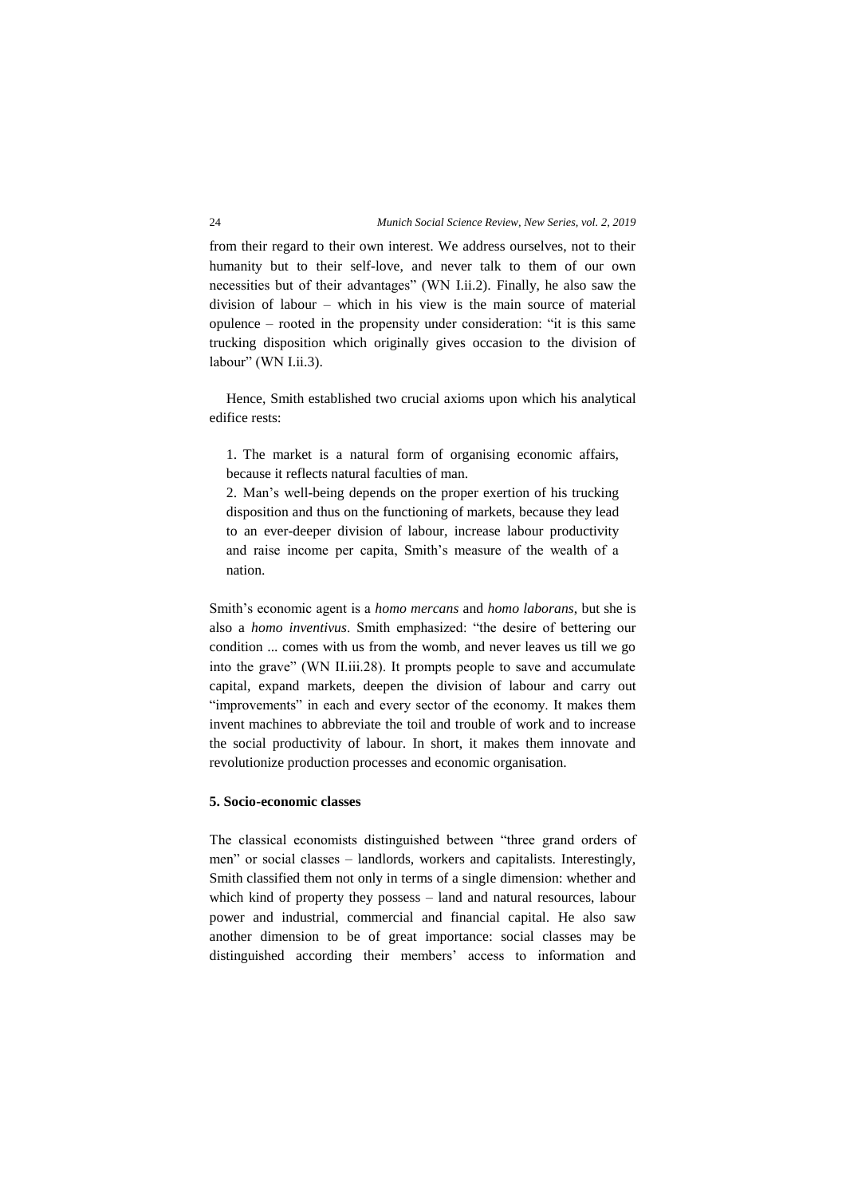from their regard to their own interest. We address ourselves, not to their humanity but to their self-love, and never talk to them of our own necessities but of their advantages" (WN I.ii.2). Finally, he also saw the division of labour – which in his view is the main source of material opulence – rooted in the propensity under consideration: "it is this same trucking disposition which originally gives occasion to the division of labour" (WN I.ii.3).

Hence, Smith established two crucial axioms upon which his analytical edifice rests:

1. The market is a natural form of organising economic affairs, because it reflects natural faculties of man.

2. Man's well-being depends on the proper exertion of his trucking disposition and thus on the functioning of markets, because they lead to an ever-deeper division of labour, increase labour productivity and raise income per capita, Smith's measure of the wealth of a nation.

Smith's economic agent is a *homo mercans* and *homo laborans*, but she is also a *homo inventivus*. Smith emphasized: "the desire of bettering our condition ... comes with us from the womb, and never leaves us till we go into the grave" (WN II.iii.28). It prompts people to save and accumulate capital, expand markets, deepen the division of labour and carry out "improvements" in each and every sector of the economy. It makes them invent machines to abbreviate the toil and trouble of work and to increase the social productivity of labour. In short, it makes them innovate and revolutionize production processes and economic organisation.

### **5. Socio-economic classes**

The classical economists distinguished between "three grand orders of men" or social classes – landlords, workers and capitalists. Interestingly, Smith classified them not only in terms of a single dimension: whether and which kind of property they possess – land and natural resources, labour power and industrial, commercial and financial capital. He also saw another dimension to be of great importance: social classes may be distinguished according their members' access to information and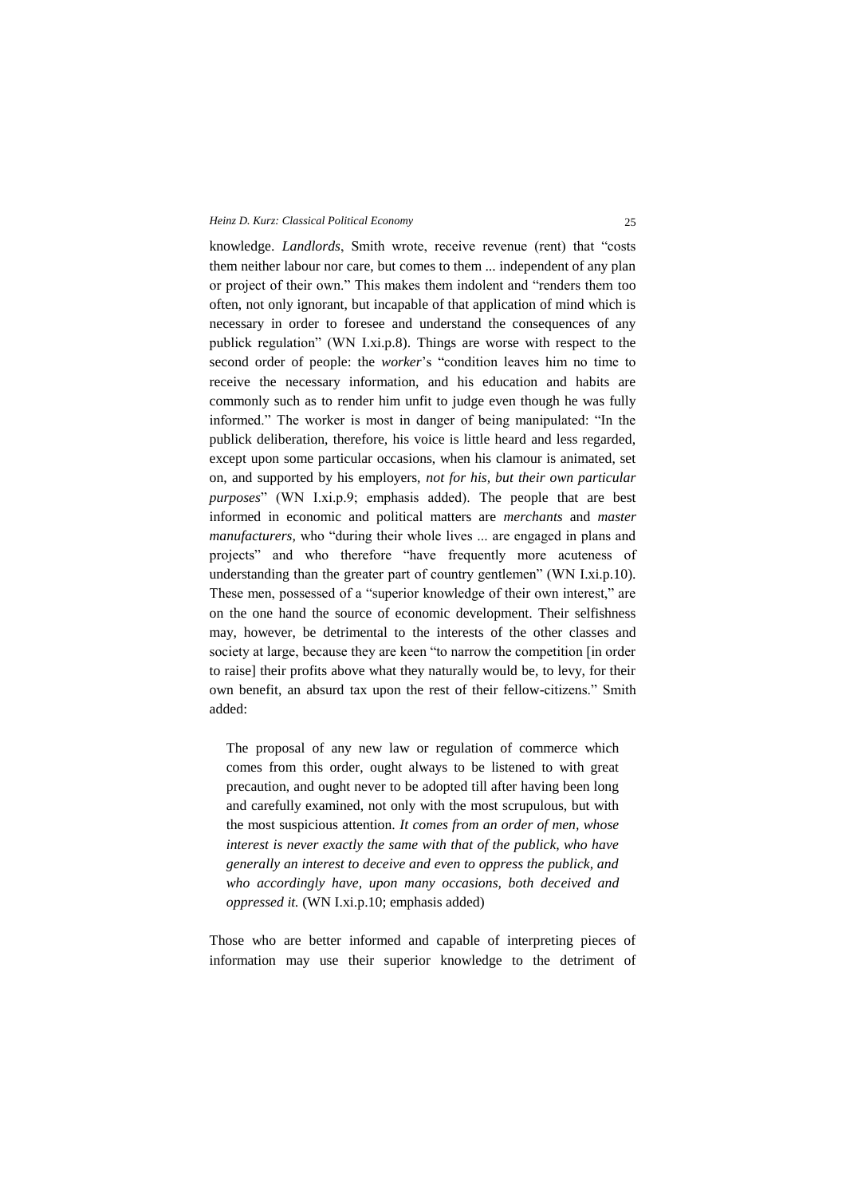knowledge. *Landlords*, Smith wrote, receive revenue (rent) that "costs them neither labour nor care, but comes to them ... independent of any plan or project of their own." This makes them indolent and "renders them too often, not only ignorant, but incapable of that application of mind which is necessary in order to foresee and understand the consequences of any publick regulation" (WN I.xi.p.8). Things are worse with respect to the second order of people: the *worker*'s "condition leaves him no time to receive the necessary information, and his education and habits are commonly such as to render him unfit to judge even though he was fully informed." The worker is most in danger of being manipulated: "In the publick deliberation, therefore, his voice is little heard and less regarded, except upon some particular occasions, when his clamour is animated, set on, and supported by his employers, *not for his, but their own particular purposes*" (WN I.xi.p.9; emphasis added). The people that are best informed in economic and political matters are *merchants* and *master manufacturers,* who "during their whole lives ... are engaged in plans and projects" and who therefore "have frequently more acuteness of understanding than the greater part of country gentlemen" (WN I.xi.p.10). These men, possessed of a "superior knowledge of their own interest," are on the one hand the source of economic development. Their selfishness may, however, be detrimental to the interests of the other classes and society at large, because they are keen "to narrow the competition [in order to raise] their profits above what they naturally would be, to levy, for their own benefit, an absurd tax upon the rest of their fellow-citizens." Smith added:

The proposal of any new law or regulation of commerce which comes from this order, ought always to be listened to with great precaution, and ought never to be adopted till after having been long and carefully examined, not only with the most scrupulous, but with the most suspicious attention. *It comes from an order of men, whose interest is never exactly the same with that of the publick, who have generally an interest to deceive and even to oppress the publick, and who accordingly have, upon many occasions, both deceived and oppressed it.* (WN I.xi.p.10; emphasis added)

Those who are better informed and capable of interpreting pieces of information may use their superior knowledge to the detriment of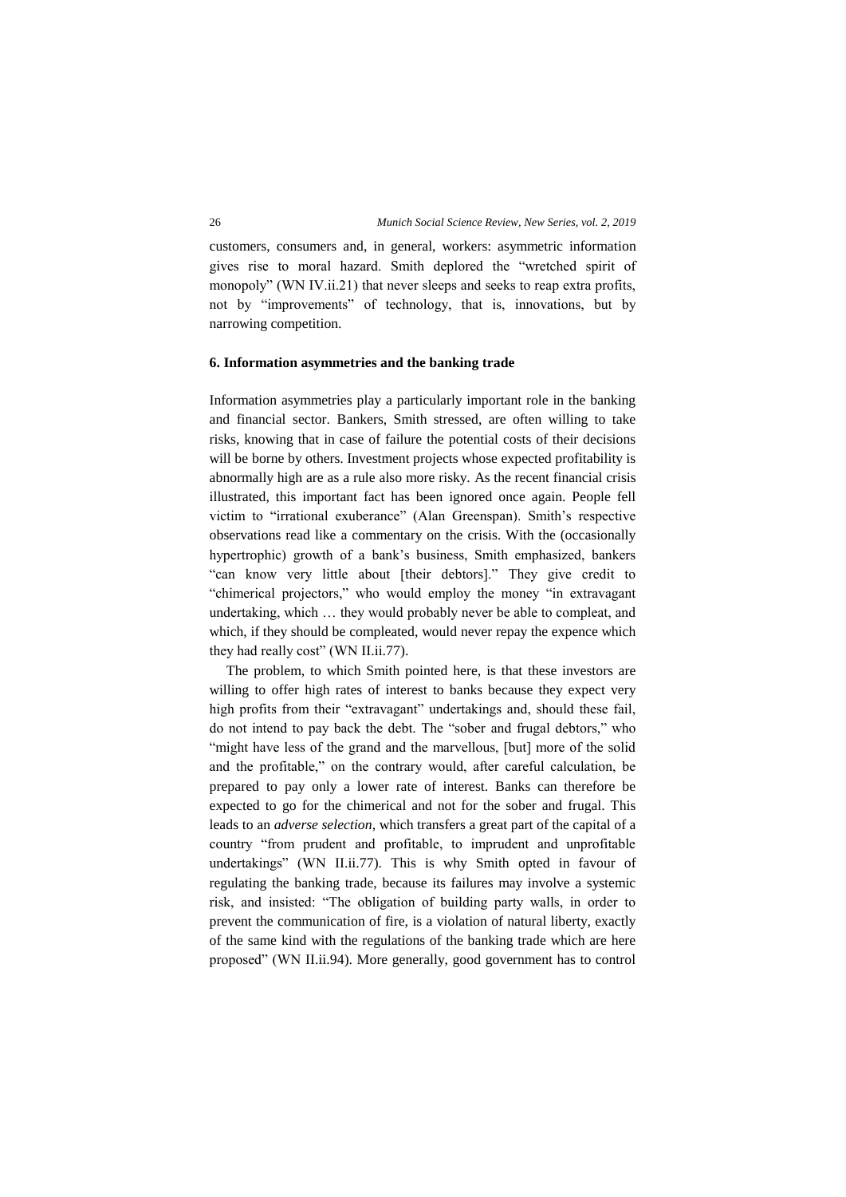customers, consumers and, in general, workers: asymmetric information gives rise to moral hazard. Smith deplored the "wretched spirit of monopoly" (WN IV.ii.21) that never sleeps and seeks to reap extra profits, not by "improvements" of technology, that is, innovations, but by narrowing competition.

#### **6. Information asymmetries and the banking trade**

Information asymmetries play a particularly important role in the banking and financial sector. Bankers, Smith stressed, are often willing to take risks, knowing that in case of failure the potential costs of their decisions will be borne by others. Investment projects whose expected profitability is abnormally high are as a rule also more risky. As the recent financial crisis illustrated, this important fact has been ignored once again. People fell victim to "irrational exuberance" (Alan Greenspan). Smith's respective observations read like a commentary on the crisis. With the (occasionally hypertrophic) growth of a bank's business, Smith emphasized, bankers "can know very little about [their debtors]." They give credit to "chimerical projectors," who would employ the money "in extravagant undertaking, which … they would probably never be able to compleat, and which, if they should be compleated, would never repay the expence which they had really cost" (WN II.ii.77).

The problem, to which Smith pointed here, is that these investors are willing to offer high rates of interest to banks because they expect very high profits from their "extravagant" undertakings and, should these fail, do not intend to pay back the debt. The "sober and frugal debtors," who "might have less of the grand and the marvellous, [but] more of the solid and the profitable," on the contrary would, after careful calculation, be prepared to pay only a lower rate of interest. Banks can therefore be expected to go for the chimerical and not for the sober and frugal. This leads to an *adverse selection*, which transfers a great part of the capital of a country "from prudent and profitable, to imprudent and unprofitable undertakings" (WN II.ii.77). This is why Smith opted in favour of regulating the banking trade, because its failures may involve a systemic risk, and insisted: "The obligation of building party walls, in order to prevent the communication of fire, is a violation of natural liberty, exactly of the same kind with the regulations of the banking trade which are here proposed" (WN II.ii.94). More generally, good government has to control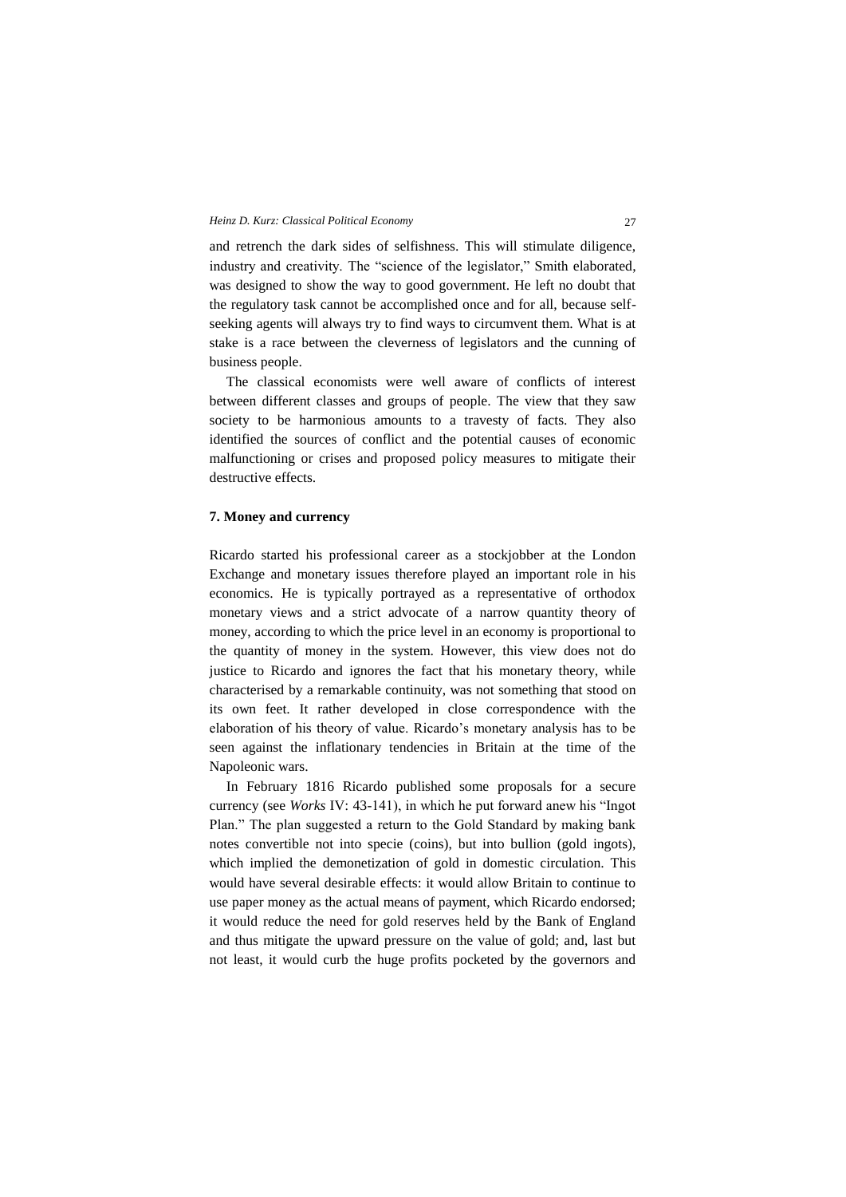and retrench the dark sides of selfishness. This will stimulate diligence, industry and creativity. The "science of the legislator," Smith elaborated, was designed to show the way to good government. He left no doubt that the regulatory task cannot be accomplished once and for all, because selfseeking agents will always try to find ways to circumvent them. What is at stake is a race between the cleverness of legislators and the cunning of business people.

The classical economists were well aware of conflicts of interest between different classes and groups of people. The view that they saw society to be harmonious amounts to a travesty of facts. They also identified the sources of conflict and the potential causes of economic malfunctioning or crises and proposed policy measures to mitigate their destructive effects.

### **7. Money and currency**

Ricardo started his professional career as a stockjobber at the London Exchange and monetary issues therefore played an important role in his economics. He is typically portrayed as a representative of orthodox monetary views and a strict advocate of a narrow quantity theory of money, according to which the price level in an economy is proportional to the quantity of money in the system. However, this view does not do justice to Ricardo and ignores the fact that his monetary theory, while characterised by a remarkable continuity, was not something that stood on its own feet. It rather developed in close correspondence with the elaboration of his theory of value. Ricardo's monetary analysis has to be seen against the inflationary tendencies in Britain at the time of the Napoleonic wars.

In February 1816 Ricardo published some proposals for a secure currency (see *Works* IV: 43-141), in which he put forward anew his "Ingot Plan." The plan suggested a return to the Gold Standard by making bank notes convertible not into specie (coins), but into bullion (gold ingots), which implied the demonetization of gold in domestic circulation. This would have several desirable effects: it would allow Britain to continue to use paper money as the actual means of payment, which Ricardo endorsed; it would reduce the need for gold reserves held by the Bank of England and thus mitigate the upward pressure on the value of gold; and, last but not least, it would curb the huge profits pocketed by the governors and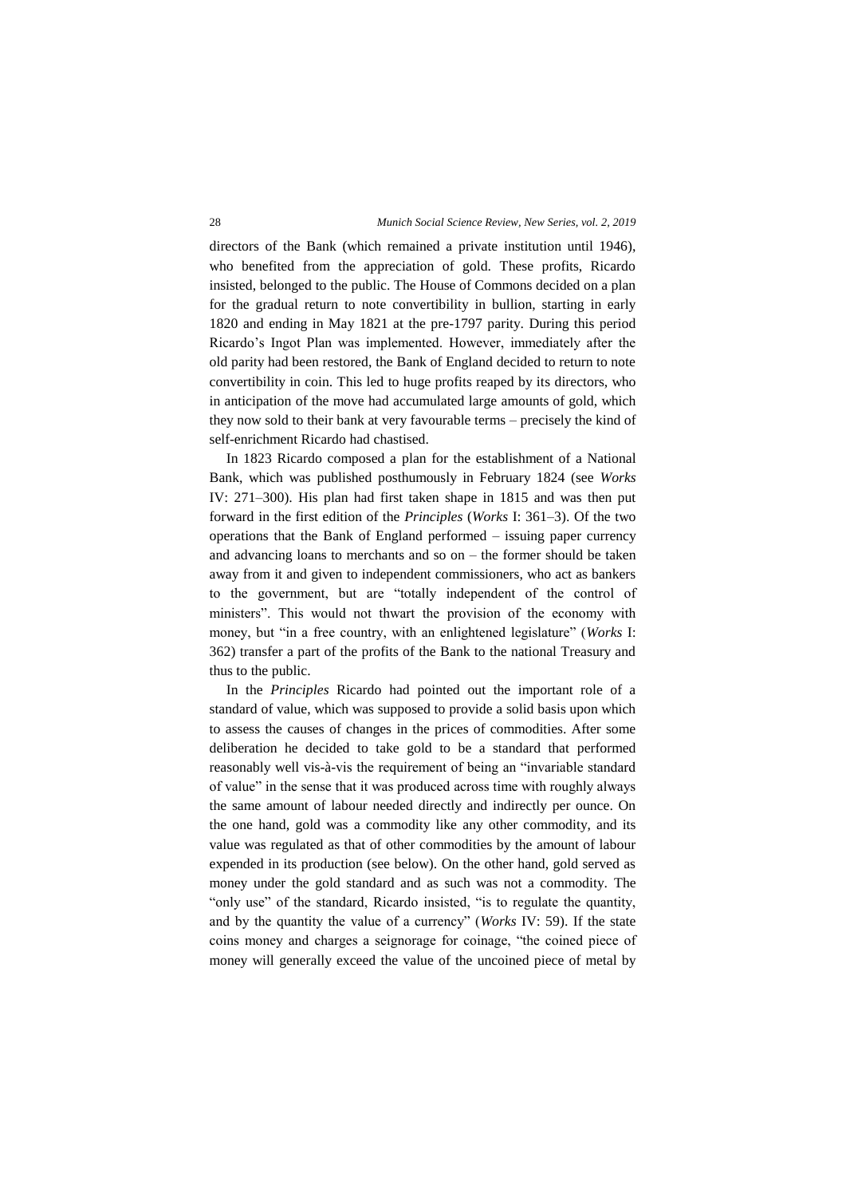directors of the Bank (which remained a private institution until 1946), who benefited from the appreciation of gold. These profits, Ricardo insisted, belonged to the public. The House of Commons decided on a plan for the gradual return to note convertibility in bullion, starting in early 1820 and ending in May 1821 at the pre-1797 parity. During this period Ricardo's Ingot Plan was implemented. However, immediately after the old parity had been restored, the Bank of England decided to return to note convertibility in coin. This led to huge profits reaped by its directors, who in anticipation of the move had accumulated large amounts of gold, which they now sold to their bank at very favourable terms – precisely the kind of self-enrichment Ricardo had chastised.

In 1823 Ricardo composed a plan for the establishment of a National Bank, which was published posthumously in February 1824 (see *Works*  IV: 271–300). His plan had first taken shape in 1815 and was then put forward in the first edition of the *Principles* (*Works* I: 361–3). Of the two operations that the Bank of England performed – issuing paper currency and advancing loans to merchants and so on – the former should be taken away from it and given to independent commissioners, who act as bankers to the government, but are "totally independent of the control of ministers". This would not thwart the provision of the economy with money, but "in a free country, with an enlightened legislature" (*Works* I: 362) transfer a part of the profits of the Bank to the national Treasury and thus to the public.

In the *Principles* Ricardo had pointed out the important role of a standard of value, which was supposed to provide a solid basis upon which to assess the causes of changes in the prices of commodities. After some deliberation he decided to take gold to be a standard that performed reasonably well vis-à-vis the requirement of being an "invariable standard of value" in the sense that it was produced across time with roughly always the same amount of labour needed directly and indirectly per ounce. On the one hand, gold was a commodity like any other commodity, and its value was regulated as that of other commodities by the amount of labour expended in its production (see below). On the other hand, gold served as money under the gold standard and as such was not a commodity. The "only use" of the standard, Ricardo insisted, "is to regulate the quantity, and by the quantity the value of a currency" (*Works* IV: 59). If the state coins money and charges a seignorage for coinage, "the coined piece of money will generally exceed the value of the uncoined piece of metal by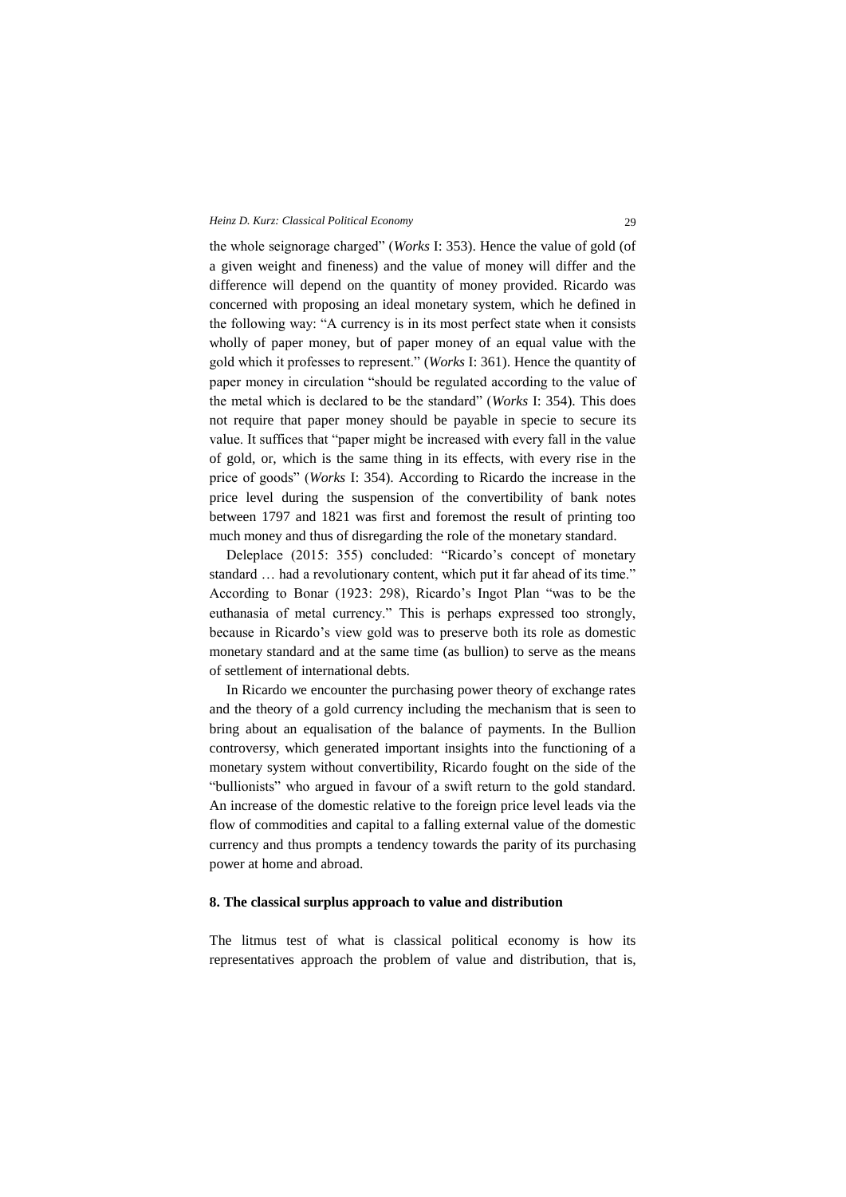the whole seignorage charged" (*Works* I: 353). Hence the value of gold (of a given weight and fineness) and the value of money will differ and the difference will depend on the quantity of money provided. Ricardo was concerned with proposing an ideal monetary system, which he defined in the following way: "A currency is in its most perfect state when it consists wholly of paper money, but of paper money of an equal value with the gold which it professes to represent." (*Works* I: 361). Hence the quantity of paper money in circulation "should be regulated according to the value of the metal which is declared to be the standard" (*Works* I: 354). This does not require that paper money should be payable in specie to secure its value. It suffices that "paper might be increased with every fall in the value of gold, or, which is the same thing in its effects, with every rise in the price of goods" (*Works* I: 354). According to Ricardo the increase in the price level during the suspension of the convertibility of bank notes between 1797 and 1821 was first and foremost the result of printing too much money and thus of disregarding the role of the monetary standard.

Deleplace (2015: 355) concluded: "Ricardo's concept of monetary standard … had a revolutionary content, which put it far ahead of its time." According to Bonar (1923: 298), Ricardo's Ingot Plan "was to be the euthanasia of metal currency." This is perhaps expressed too strongly, because in Ricardo's view gold was to preserve both its role as domestic monetary standard and at the same time (as bullion) to serve as the means of settlement of international debts.

In Ricardo we encounter the purchasing power theory of exchange rates and the theory of a gold currency including the mechanism that is seen to bring about an equalisation of the balance of payments. In the Bullion controversy, which generated important insights into the functioning of a monetary system without convertibility, Ricardo fought on the side of the "bullionists" who argued in favour of a swift return to the gold standard. An increase of the domestic relative to the foreign price level leads via the flow of commodities and capital to a falling external value of the domestic currency and thus prompts a tendency towards the parity of its purchasing power at home and abroad.

### **8. The classical surplus approach to value and distribution**

The litmus test of what is classical political economy is how its representatives approach the problem of value and distribution, that is,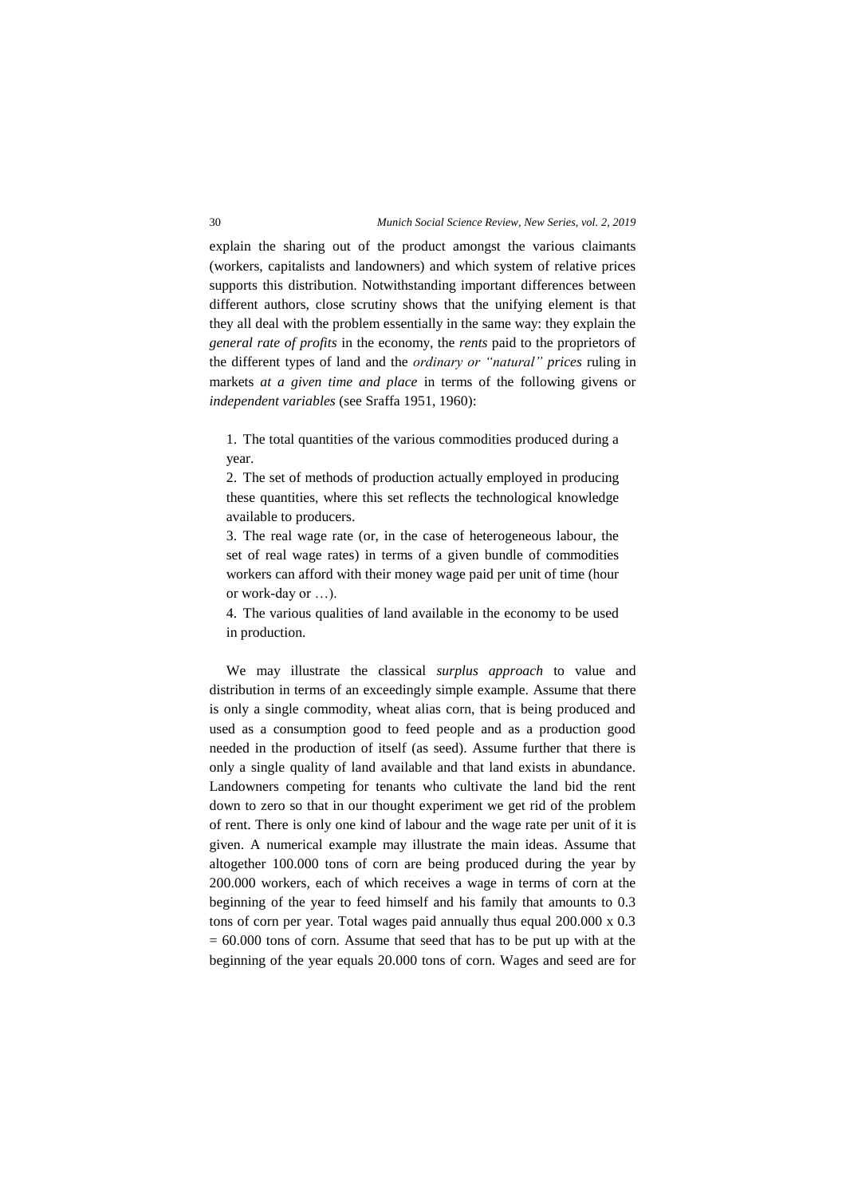explain the sharing out of the product amongst the various claimants (workers, capitalists and landowners) and which system of relative prices supports this distribution. Notwithstanding important differences between different authors, close scrutiny shows that the unifying element is that they all deal with the problem essentially in the same way: they explain the *general rate of profits* in the economy, the *rents* paid to the proprietors of the different types of land and the *ordinary or "natural" prices* ruling in markets *at a given time and place* in terms of the following givens or *independent variables* (see Sraffa 1951, 1960):

1. The total quantities of the various commodities produced during a year.

2. The set of methods of production actually employed in producing these quantities, where this set reflects the technological knowledge available to producers.

3. The real wage rate (or, in the case of heterogeneous labour, the set of real wage rates) in terms of a given bundle of commodities workers can afford with their money wage paid per unit of time (hour or work-day or …).

4. The various qualities of land available in the economy to be used in production.

We may illustrate the classical *surplus approach* to value and distribution in terms of an exceedingly simple example. Assume that there is only a single commodity, wheat alias corn, that is being produced and used as a consumption good to feed people and as a production good needed in the production of itself (as seed). Assume further that there is only a single quality of land available and that land exists in abundance. Landowners competing for tenants who cultivate the land bid the rent down to zero so that in our thought experiment we get rid of the problem of rent. There is only one kind of labour and the wage rate per unit of it is given. A numerical example may illustrate the main ideas. Assume that altogether 100.000 tons of corn are being produced during the year by 200.000 workers, each of which receives a wage in terms of corn at the beginning of the year to feed himself and his family that amounts to 0.3 tons of corn per year. Total wages paid annually thus equal 200.000 x 0.3  $= 60.000$  tons of corn. Assume that seed that has to be put up with at the beginning of the year equals 20.000 tons of corn. Wages and seed are for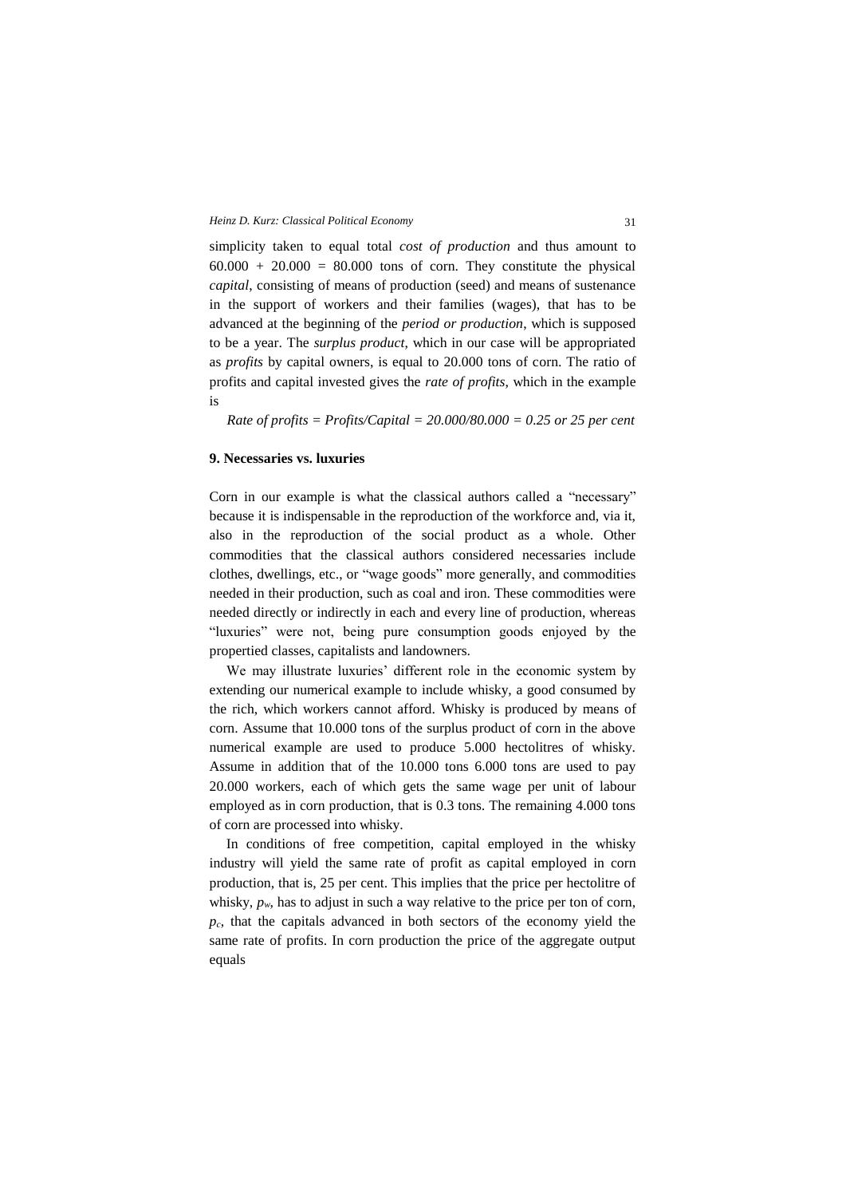simplicity taken to equal total *cost of production* and thus amount to  $60.000 + 20.000 = 80.000$  tons of corn. They constitute the physical *capital*, consisting of means of production (seed) and means of sustenance in the support of workers and their families (wages), that has to be advanced at the beginning of the *period or production*, which is supposed to be a year. The *surplus product*, which in our case will be appropriated as *profits* by capital owners, is equal to 20.000 tons of corn. The ratio of profits and capital invested gives the *rate of profits*, which in the example is

*Rate of profits = Profits/Capital = 20.000/80.000 = 0.25 or 25 per cent*

# **9. Necessaries vs. luxuries**

Corn in our example is what the classical authors called a "necessary" because it is indispensable in the reproduction of the workforce and, via it, also in the reproduction of the social product as a whole. Other commodities that the classical authors considered necessaries include clothes, dwellings, etc., or "wage goods" more generally, and commodities needed in their production, such as coal and iron. These commodities were needed directly or indirectly in each and every line of production, whereas "luxuries" were not, being pure consumption goods enjoyed by the propertied classes, capitalists and landowners.

We may illustrate luxuries' different role in the economic system by extending our numerical example to include whisky, a good consumed by the rich, which workers cannot afford. Whisky is produced by means of corn. Assume that 10.000 tons of the surplus product of corn in the above numerical example are used to produce 5.000 hectolitres of whisky. Assume in addition that of the 10.000 tons 6.000 tons are used to pay 20.000 workers, each of which gets the same wage per unit of labour employed as in corn production, that is 0.3 tons. The remaining 4.000 tons of corn are processed into whisky.

In conditions of free competition, capital employed in the whisky industry will yield the same rate of profit as capital employed in corn production, that is, 25 per cent. This implies that the price per hectolitre of whisky,  $p_w$ , has to adjust in such a way relative to the price per ton of corn, *pc*, that the capitals advanced in both sectors of the economy yield the same rate of profits. In corn production the price of the aggregate output equals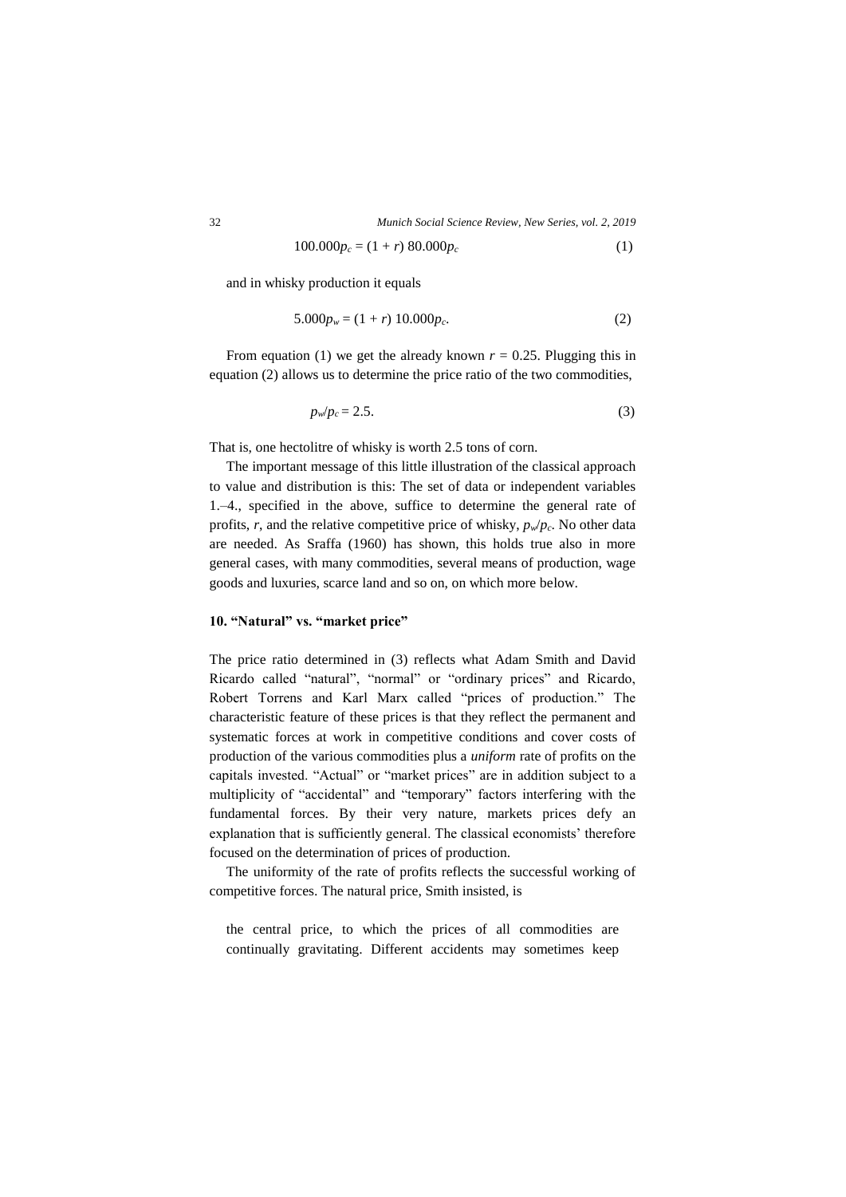32 *Munich Social Science Review, New Series, vol. 2, 2019*

$$
100.000p_c = (1+r) 80.000p_c \tag{1}
$$

and in whisky production it equals

$$
5.000p_w = (1+r) 10.000p_c.
$$
 (2)

From equation (1) we get the already known  $r = 0.25$ . Plugging this in equation (2) allows us to determine the price ratio of the two commodities,

$$
p_w/p_c = 2.5. \tag{3}
$$

That is, one hectolitre of whisky is worth 2.5 tons of corn.

The important message of this little illustration of the classical approach to value and distribution is this: The set of data or independent variables 1.–4., specified in the above, suffice to determine the general rate of profits, *r*, and the relative competitive price of whisky,  $p_w/p_c$ . No other data are needed. As Sraffa (1960) has shown, this holds true also in more general cases, with many commodities, several means of production, wage goods and luxuries, scarce land and so on, on which more below.

## **10. "Natural" vs. "market price"**

The price ratio determined in (3) reflects what Adam Smith and David Ricardo called "natural", "normal" or "ordinary prices" and Ricardo, Robert Torrens and Karl Marx called "prices of production." The characteristic feature of these prices is that they reflect the permanent and systematic forces at work in competitive conditions and cover costs of production of the various commodities plus a *uniform* rate of profits on the capitals invested. "Actual" or "market prices" are in addition subject to a multiplicity of "accidental" and "temporary" factors interfering with the fundamental forces. By their very nature, markets prices defy an explanation that is sufficiently general. The classical economists' therefore focused on the determination of prices of production.

The uniformity of the rate of profits reflects the successful working of competitive forces. The natural price, Smith insisted, is

the central price, to which the prices of all commodities are continually gravitating. Different accidents may sometimes keep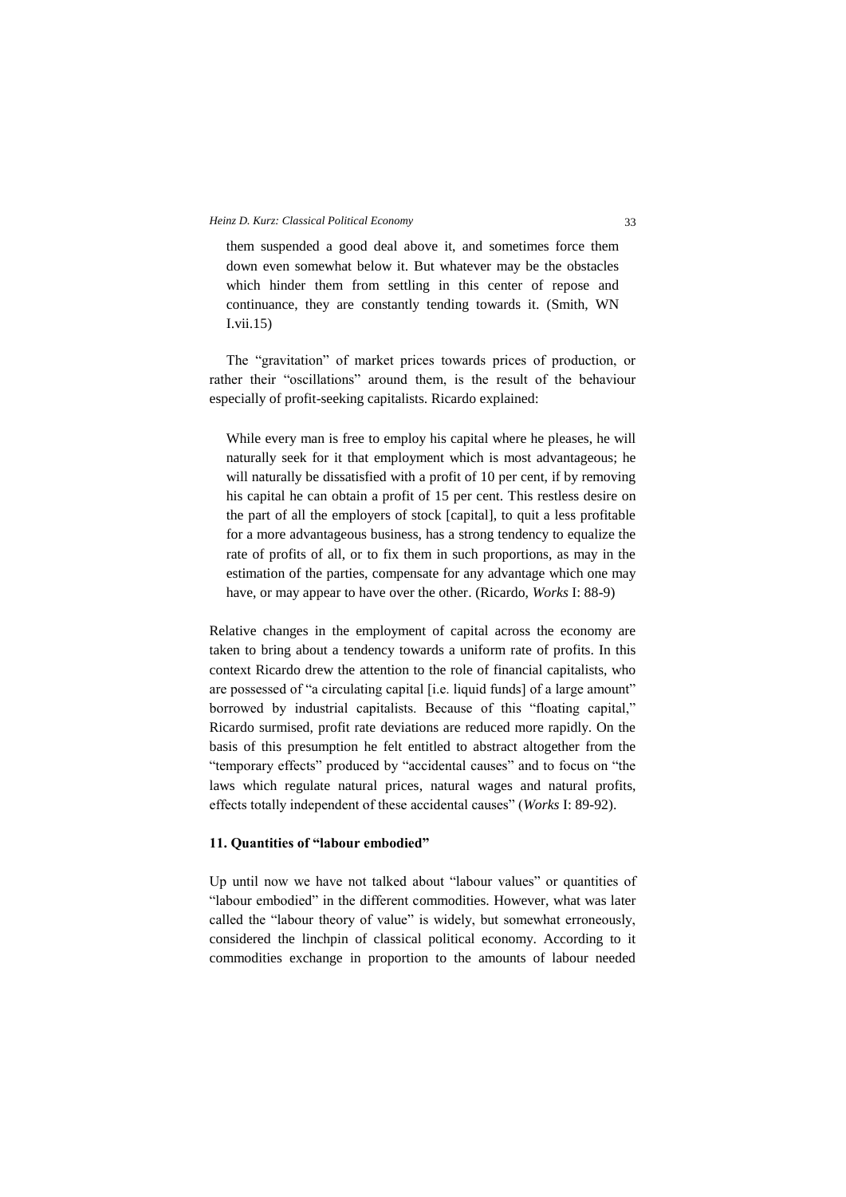them suspended a good deal above it, and sometimes force them down even somewhat below it. But whatever may be the obstacles which hinder them from settling in this center of repose and continuance, they are constantly tending towards it. (Smith, WN I.vii.15)

The "gravitation" of market prices towards prices of production, or rather their "oscillations" around them, is the result of the behaviour especially of profit-seeking capitalists. Ricardo explained:

While every man is free to employ his capital where he pleases, he will naturally seek for it that employment which is most advantageous; he will naturally be dissatisfied with a profit of 10 per cent, if by removing his capital he can obtain a profit of 15 per cent. This restless desire on the part of all the employers of stock [capital], to quit a less profitable for a more advantageous business, has a strong tendency to equalize the rate of profits of all, or to fix them in such proportions, as may in the estimation of the parties, compensate for any advantage which one may have, or may appear to have over the other. (Ricardo, *Works* I: 88-9)

Relative changes in the employment of capital across the economy are taken to bring about a tendency towards a uniform rate of profits. In this context Ricardo drew the attention to the role of financial capitalists, who are possessed of "a circulating capital [i.e. liquid funds] of a large amount" borrowed by industrial capitalists. Because of this "floating capital," Ricardo surmised, profit rate deviations are reduced more rapidly. On the basis of this presumption he felt entitled to abstract altogether from the "temporary effects" produced by "accidental causes" and to focus on "the laws which regulate natural prices, natural wages and natural profits, effects totally independent of these accidental causes" (*Works* I: 89-92).

## **11. Quantities of "labour embodied"**

Up until now we have not talked about "labour values" or quantities of "labour embodied" in the different commodities. However, what was later called the "labour theory of value" is widely, but somewhat erroneously, considered the linchpin of classical political economy. According to it commodities exchange in proportion to the amounts of labour needed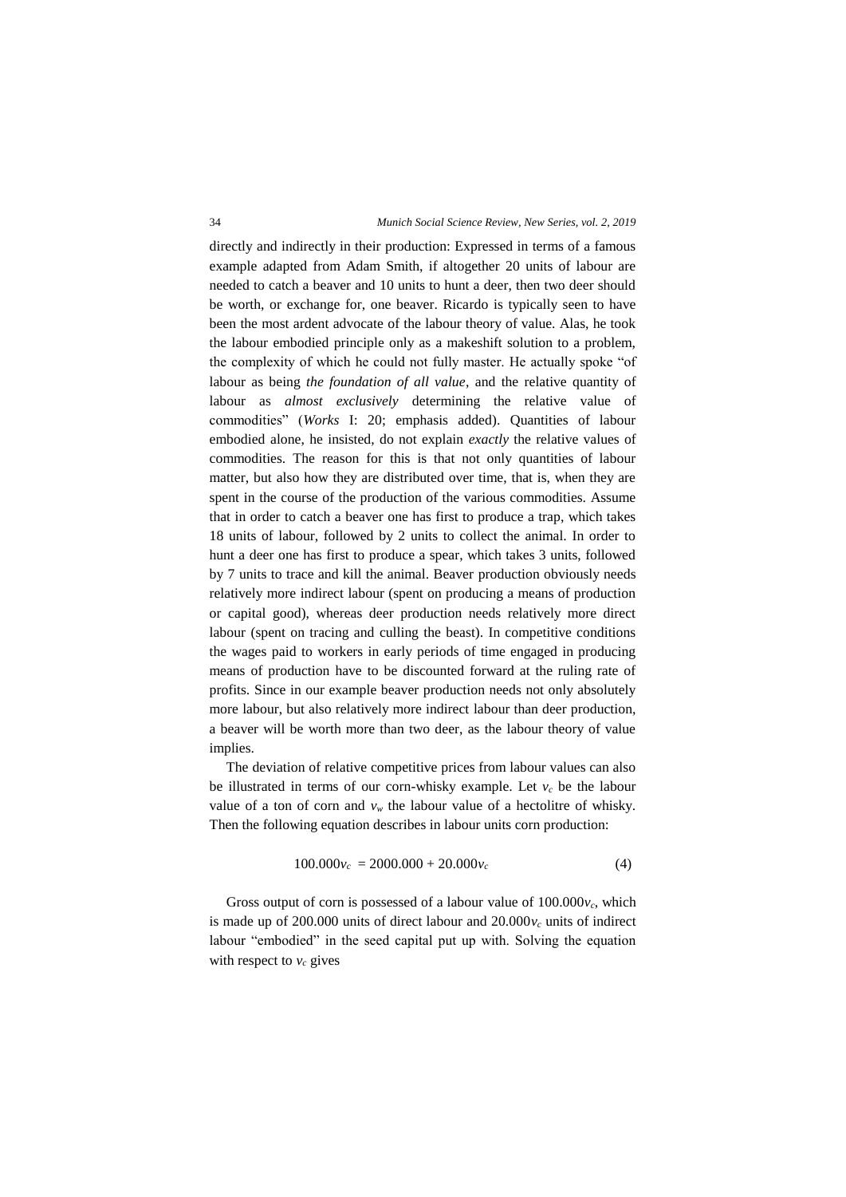directly and indirectly in their production: Expressed in terms of a famous example adapted from Adam Smith, if altogether 20 units of labour are needed to catch a beaver and 10 units to hunt a deer, then two deer should be worth, or exchange for, one beaver. Ricardo is typically seen to have been the most ardent advocate of the labour theory of value. Alas, he took the labour embodied principle only as a makeshift solution to a problem, the complexity of which he could not fully master. He actually spoke "of labour as being *the foundation of all value*, and the relative quantity of labour as *almost exclusively* determining the relative value of commodities" (*Works* I: 20; emphasis added). Quantities of labour embodied alone, he insisted, do not explain *exactly* the relative values of commodities. The reason for this is that not only quantities of labour matter, but also how they are distributed over time, that is, when they are spent in the course of the production of the various commodities. Assume that in order to catch a beaver one has first to produce a trap, which takes 18 units of labour, followed by 2 units to collect the animal. In order to hunt a deer one has first to produce a spear, which takes 3 units, followed by 7 units to trace and kill the animal. Beaver production obviously needs relatively more indirect labour (spent on producing a means of production or capital good), whereas deer production needs relatively more direct labour (spent on tracing and culling the beast). In competitive conditions the wages paid to workers in early periods of time engaged in producing means of production have to be discounted forward at the ruling rate of profits. Since in our example beaver production needs not only absolutely more labour, but also relatively more indirect labour than deer production, a beaver will be worth more than two deer, as the labour theory of value implies.

The deviation of relative competitive prices from labour values can also be illustrated in terms of our corn-whisky example. Let  $v_c$  be the labour value of a ton of corn and  $v_w$  the labour value of a hectolitre of whisky. Then the following equation describes in labour units corn production:

$$
100.000v_c = 2000.000 + 20.000v_c \tag{4}
$$

Gross output of corn is possessed of a labour value of  $100.000v_c$ , which is made up of 200.000 units of direct labour and  $20.000v_c$  units of indirect labour "embodied" in the seed capital put up with. Solving the equation with respect to  $v_c$  gives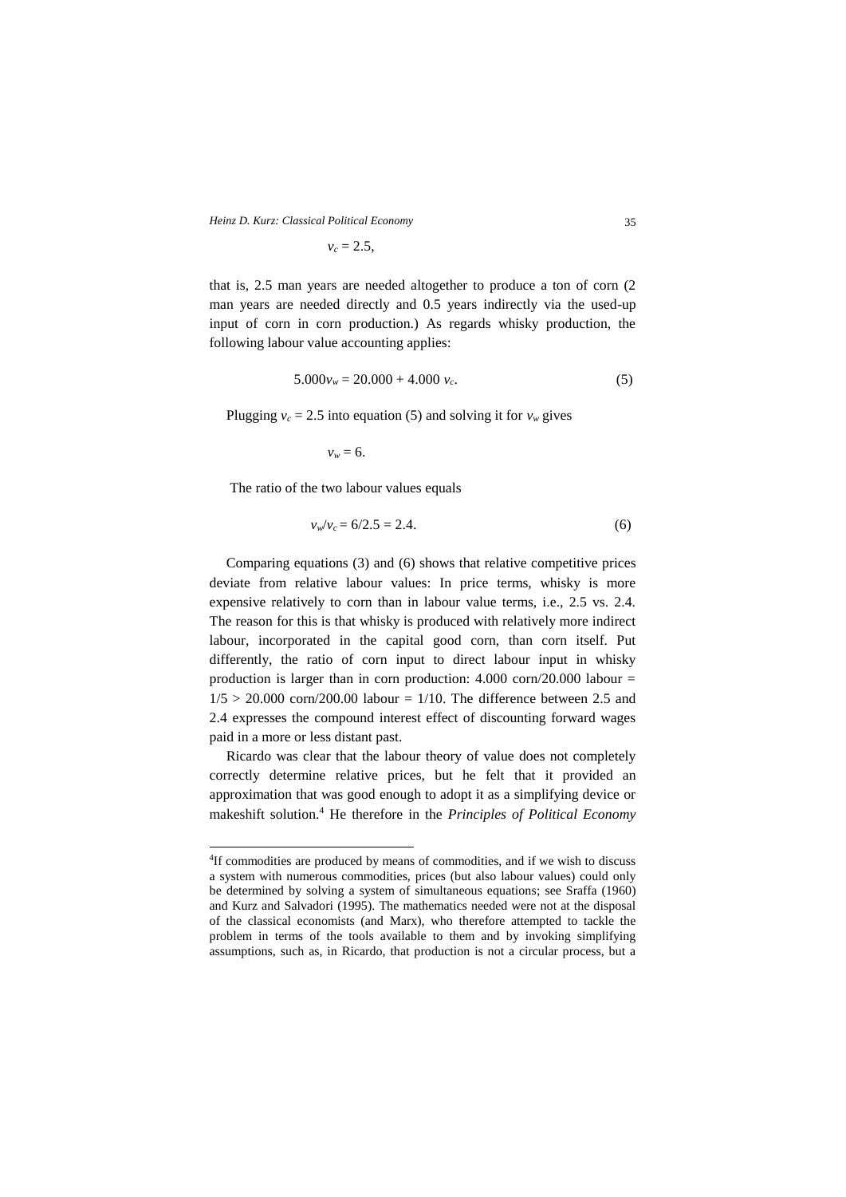$v_c = 2.5$ 

that is, 2.5 man years are needed altogether to produce a ton of corn (2 man years are needed directly and 0.5 years indirectly via the used-up input of corn in corn production.) As regards whisky production, the following labour value accounting applies:

$$
5.000v_w = 20.000 + 4.000 v_c.
$$
 (5)

Plugging  $v_c = 2.5$  into equation (5) and solving it for  $v_w$  gives

 $v_w = 6$ .

The ratio of the two labour values equals

1

$$
v_w/v_c = 6/2.5 = 2.4. \tag{6}
$$

Comparing equations (3) and (6) shows that relative competitive prices deviate from relative labour values: In price terms, whisky is more expensive relatively to corn than in labour value terms, i.e., 2.5 vs. 2.4. The reason for this is that whisky is produced with relatively more indirect labour, incorporated in the capital good corn, than corn itself. Put differently, the ratio of corn input to direct labour input in whisky production is larger than in corn production:  $4.000 \text{ corn}/20.000 \text{ labour} =$  $1/5 > 20.000$  corn/200.00 labour = 1/10. The difference between 2.5 and 2.4 expresses the compound interest effect of discounting forward wages paid in a more or less distant past.

Ricardo was clear that the labour theory of value does not completely correctly determine relative prices, but he felt that it provided an approximation that was good enough to adopt it as a simplifying device or makeshift solution.<sup>4</sup> He therefore in the *Principles of Political Economy*

<sup>4</sup> If commodities are produced by means of commodities, and if we wish to discuss a system with numerous commodities, prices (but also labour values) could only be determined by solving a system of simultaneous equations; see Sraffa (1960) and Kurz and Salvadori (1995). The mathematics needed were not at the disposal of the classical economists (and Marx), who therefore attempted to tackle the problem in terms of the tools available to them and by invoking simplifying assumptions, such as, in Ricardo, that production is not a circular process, but a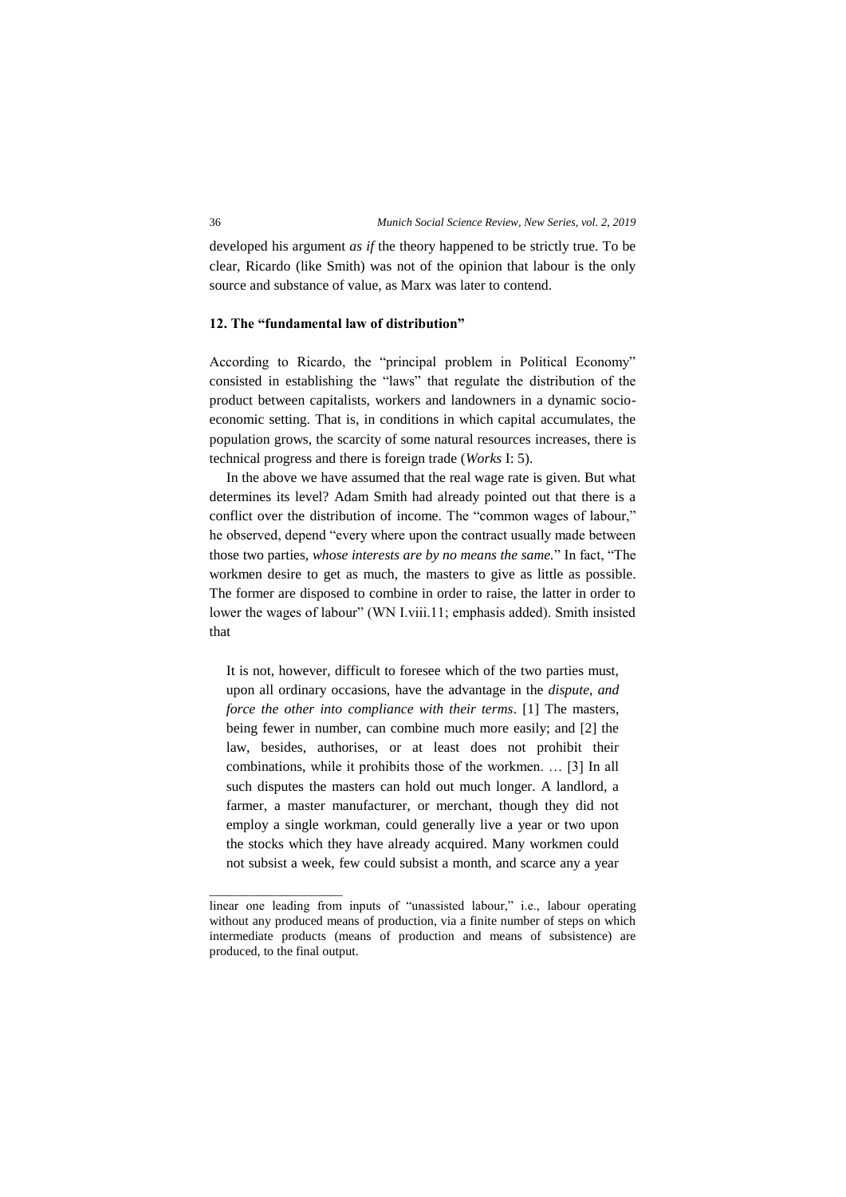developed his argument *as if* the theory happened to be strictly true. To be clear, Ricardo (like Smith) was not of the opinion that labour is the only source and substance of value, as Marx was later to contend.

# **12. The "fundamental law of distribution"**

According to Ricardo, the "principal problem in Political Economy" consisted in establishing the "laws" that regulate the distribution of the product between capitalists, workers and landowners in a dynamic socioeconomic setting. That is, in conditions in which capital accumulates, the population grows, the scarcity of some natural resources increases, there is technical progress and there is foreign trade (*Works* I: 5).

In the above we have assumed that the real wage rate is given. But what determines its level? Adam Smith had already pointed out that there is a conflict over the distribution of income. The "common wages of labour," he observed, depend "every where upon the contract usually made between those two parties, *whose interests are by no means the same.*" In fact, "The workmen desire to get as much, the masters to give as little as possible. The former are disposed to combine in order to raise, the latter in order to lower the wages of labour" (WN I.viii.11; emphasis added). Smith insisted that

It is not, however, difficult to foresee which of the two parties must, upon all ordinary occasions, have the advantage in the *dispute, and force the other into compliance with their terms*. [1] The masters, being fewer in number, can combine much more easily; and [2] the law, besides, authorises, or at least does not prohibit their combinations, while it prohibits those of the workmen. … [3] In all such disputes the masters can hold out much longer. A landlord, a farmer, a master manufacturer, or merchant, though they did not employ a single workman, could generally live a year or two upon the stocks which they have already acquired. Many workmen could not subsist a week, few could subsist a month, and scarce any a year

\_\_\_\_\_\_\_\_\_\_\_\_\_\_\_\_\_\_\_\_\_\_\_

linear one leading from inputs of "unassisted labour," i.e., labour operating without any produced means of production, via a finite number of steps on which intermediate products (means of production and means of subsistence) are produced, to the final output.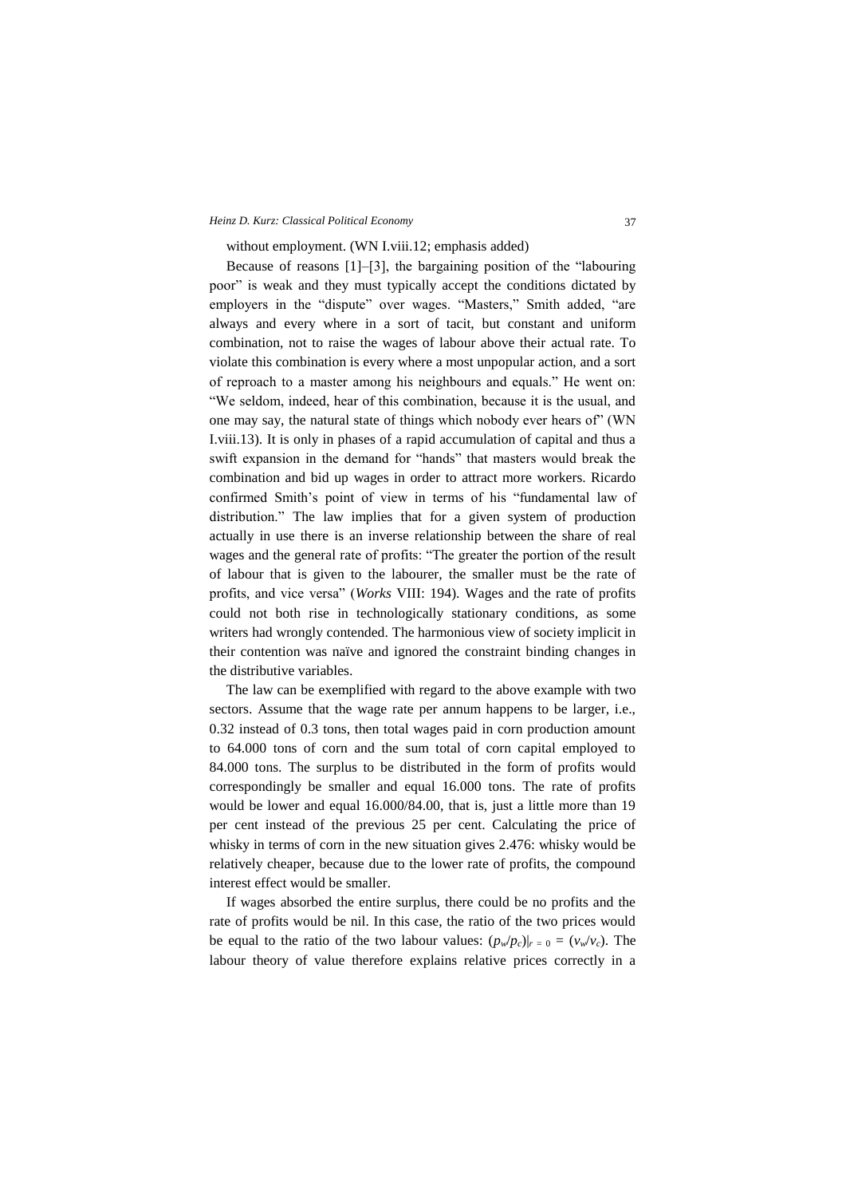without employment. (WN I.viii.12; emphasis added)

Because of reasons [1]–[3], the bargaining position of the "labouring poor" is weak and they must typically accept the conditions dictated by employers in the "dispute" over wages. "Masters," Smith added, "are always and every where in a sort of tacit, but constant and uniform combination, not to raise the wages of labour above their actual rate. To violate this combination is every where a most unpopular action, and a sort of reproach to a master among his neighbours and equals." He went on: "We seldom, indeed, hear of this combination, because it is the usual, and one may say, the natural state of things which nobody ever hears of" (WN I.viii.13). It is only in phases of a rapid accumulation of capital and thus a swift expansion in the demand for "hands" that masters would break the combination and bid up wages in order to attract more workers. Ricardo confirmed Smith's point of view in terms of his "fundamental law of distribution." The law implies that for a given system of production actually in use there is an inverse relationship between the share of real wages and the general rate of profits: "The greater the portion of the result of labour that is given to the labourer, the smaller must be the rate of profits, and vice versa" (*Works* VIII: 194). Wages and the rate of profits could not both rise in technologically stationary conditions, as some writers had wrongly contended. The harmonious view of society implicit in their contention was naïve and ignored the constraint binding changes in the distributive variables.

The law can be exemplified with regard to the above example with two sectors. Assume that the wage rate per annum happens to be larger, i.e., 0.32 instead of 0.3 tons, then total wages paid in corn production amount to 64.000 tons of corn and the sum total of corn capital employed to 84.000 tons. The surplus to be distributed in the form of profits would correspondingly be smaller and equal 16.000 tons. The rate of profits would be lower and equal 16.000/84.00, that is, just a little more than 19 per cent instead of the previous 25 per cent. Calculating the price of whisky in terms of corn in the new situation gives 2.476: whisky would be relatively cheaper, because due to the lower rate of profits, the compound interest effect would be smaller.

If wages absorbed the entire surplus, there could be no profits and the rate of profits would be nil. In this case, the ratio of the two prices would be equal to the ratio of the two labour values:  $(p_w/p_c)|_{r=0} = (v_w/v_c)$ . The labour theory of value therefore explains relative prices correctly in a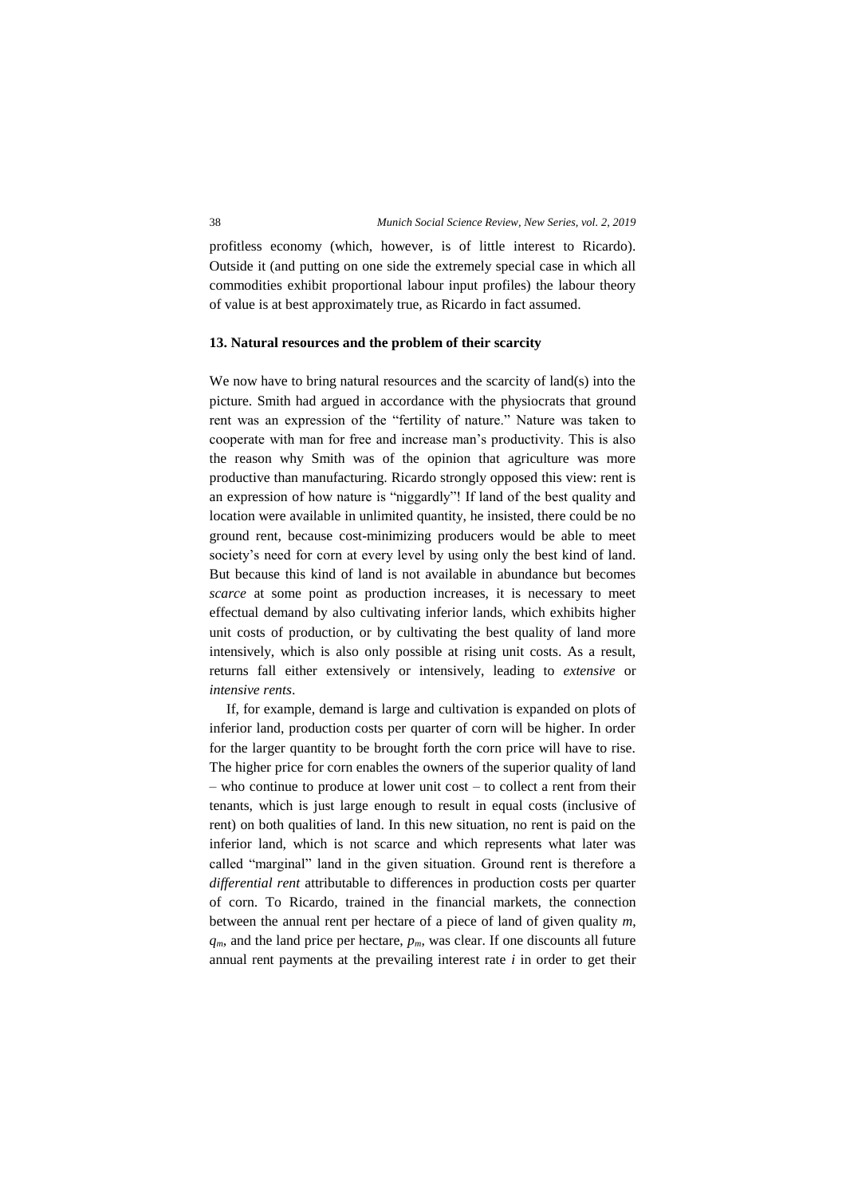profitless economy (which, however, is of little interest to Ricardo). Outside it (and putting on one side the extremely special case in which all commodities exhibit proportional labour input profiles) the labour theory of value is at best approximately true, as Ricardo in fact assumed.

### **13. Natural resources and the problem of their scarcity**

We now have to bring natural resources and the scarcity of land(s) into the picture. Smith had argued in accordance with the physiocrats that ground rent was an expression of the "fertility of nature." Nature was taken to cooperate with man for free and increase man's productivity. This is also the reason why Smith was of the opinion that agriculture was more productive than manufacturing. Ricardo strongly opposed this view: rent is an expression of how nature is "niggardly"! If land of the best quality and location were available in unlimited quantity, he insisted, there could be no ground rent, because cost-minimizing producers would be able to meet society's need for corn at every level by using only the best kind of land. But because this kind of land is not available in abundance but becomes *scarce* at some point as production increases, it is necessary to meet effectual demand by also cultivating inferior lands, which exhibits higher unit costs of production, or by cultivating the best quality of land more intensively, which is also only possible at rising unit costs. As a result, returns fall either extensively or intensively, leading to *extensive* or *intensive rents*.

If, for example, demand is large and cultivation is expanded on plots of inferior land, production costs per quarter of corn will be higher. In order for the larger quantity to be brought forth the corn price will have to rise. The higher price for corn enables the owners of the superior quality of land – who continue to produce at lower unit cost – to collect a rent from their tenants, which is just large enough to result in equal costs (inclusive of rent) on both qualities of land. In this new situation, no rent is paid on the inferior land, which is not scarce and which represents what later was called "marginal" land in the given situation. Ground rent is therefore a *differential rent* attributable to differences in production costs per quarter of corn. To Ricardo, trained in the financial markets, the connection between the annual rent per hectare of a piece of land of given quality *m*,  $q_m$ , and the land price per hectare,  $p_m$ , was clear. If one discounts all future annual rent payments at the prevailing interest rate *i* in order to get their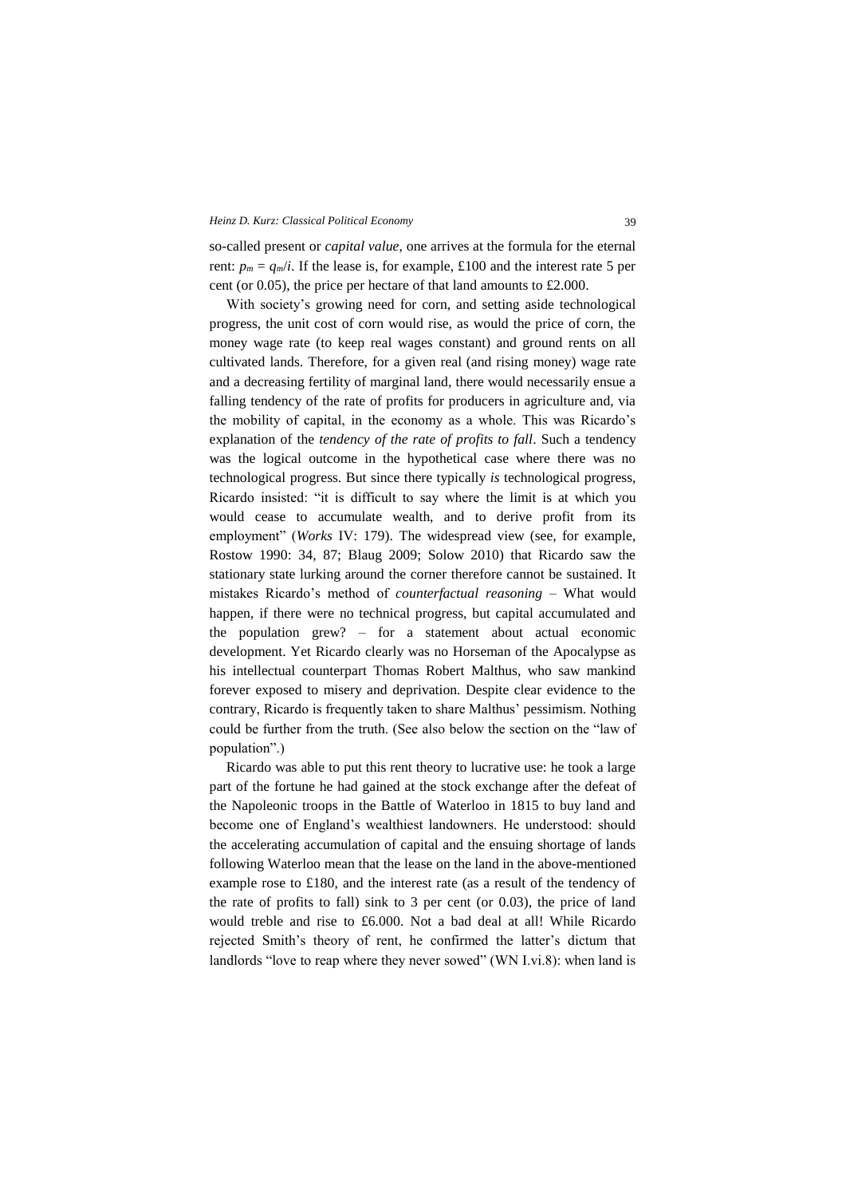so-called present or *capital value*, one arrives at the formula for the eternal rent:  $p_m = q_m/i$ . If the lease is, for example, £100 and the interest rate 5 per cent (or 0.05), the price per hectare of that land amounts to £2.000.

With society's growing need for corn, and setting aside technological progress, the unit cost of corn would rise, as would the price of corn, the money wage rate (to keep real wages constant) and ground rents on all cultivated lands. Therefore, for a given real (and rising money) wage rate and a decreasing fertility of marginal land, there would necessarily ensue a falling tendency of the rate of profits for producers in agriculture and, via the mobility of capital, in the economy as a whole. This was Ricardo's explanation of the *tendency of the rate of profits to fall*. Such a tendency was the logical outcome in the hypothetical case where there was no technological progress. But since there typically *is* technological progress, Ricardo insisted: "it is difficult to say where the limit is at which you would cease to accumulate wealth, and to derive profit from its employment" (*Works* IV: 179). The widespread view (see, for example, Rostow 1990: 34, 87; Blaug 2009; Solow 2010) that Ricardo saw the stationary state lurking around the corner therefore cannot be sustained. It mistakes Ricardo's method of *counterfactual reasoning* – What would happen, if there were no technical progress, but capital accumulated and the population grew? – for a statement about actual economic development. Yet Ricardo clearly was no Horseman of the Apocalypse as his intellectual counterpart Thomas Robert Malthus, who saw mankind forever exposed to misery and deprivation. Despite clear evidence to the contrary, Ricardo is frequently taken to share Malthus' pessimism. Nothing could be further from the truth. (See also below the section on the "law of population".)

Ricardo was able to put this rent theory to lucrative use: he took a large part of the fortune he had gained at the stock exchange after the defeat of the Napoleonic troops in the Battle of Waterloo in 1815 to buy land and become one of England's wealthiest landowners. He understood: should the accelerating accumulation of capital and the ensuing shortage of lands following Waterloo mean that the lease on the land in the above-mentioned example rose to £180, and the interest rate (as a result of the tendency of the rate of profits to fall) sink to 3 per cent (or 0.03), the price of land would treble and rise to £6.000. Not a bad deal at all! While Ricardo rejected Smith's theory of rent, he confirmed the latter's dictum that landlords "love to reap where they never sowed" (WN I.vi.8): when land is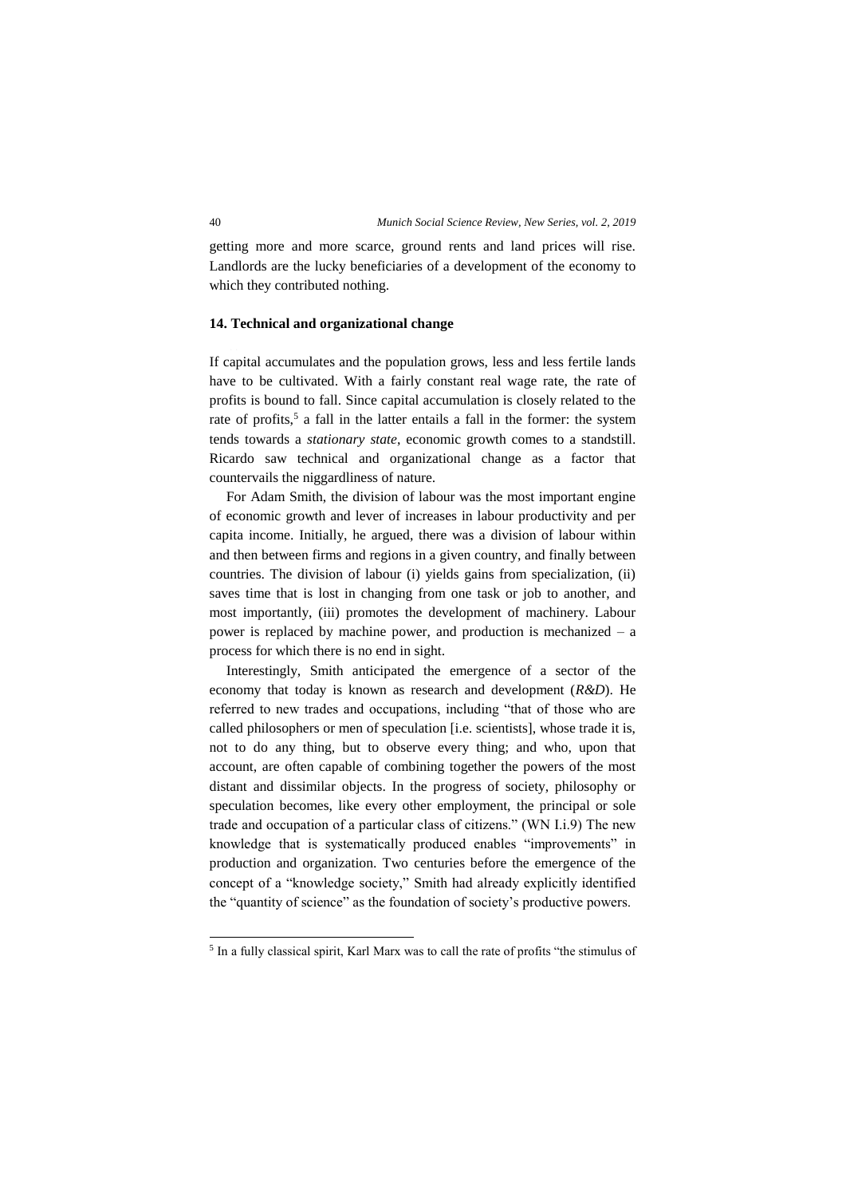getting more and more scarce, ground rents and land prices will rise. Landlords are the lucky beneficiaries of a development of the economy to which they contributed nothing.

# **14. Technical and organizational change**

If capital accumulates and the population grows, less and less fertile lands have to be cultivated. With a fairly constant real wage rate, the rate of profits is bound to fall. Since capital accumulation is closely related to the rate of profits,<sup>5</sup> a fall in the latter entails a fall in the former: the system tends towards a *stationary state*, economic growth comes to a standstill. Ricardo saw technical and organizational change as a factor that countervails the niggardliness of nature.

For Adam Smith, the division of labour was the most important engine of economic growth and lever of increases in labour productivity and per capita income. Initially, he argued, there was a division of labour within and then between firms and regions in a given country, and finally between countries. The division of labour (i) yields gains from specialization, (ii) saves time that is lost in changing from one task or job to another, and most importantly, (iii) promotes the development of machinery. Labour power is replaced by machine power, and production is mechanized – a process for which there is no end in sight.

Interestingly, Smith anticipated the emergence of a sector of the economy that today is known as research and development (*R&D*). He referred to new trades and occupations, including "that of those who are called philosophers or men of speculation [i.e. scientists], whose trade it is, not to do any thing, but to observe every thing; and who, upon that account, are often capable of combining together the powers of the most distant and dissimilar objects. In the progress of society, philosophy or speculation becomes, like every other employment, the principal or sole trade and occupation of a particular class of citizens." (WN I.i.9) The new knowledge that is systematically produced enables "improvements" in production and organization. Two centuries before the emergence of the concept of a "knowledge society," Smith had already explicitly identified the "quantity of science" as the foundation of society's productive powers.

1

<sup>5</sup> In a fully classical spirit, Karl Marx was to call the rate of profits "the stimulus of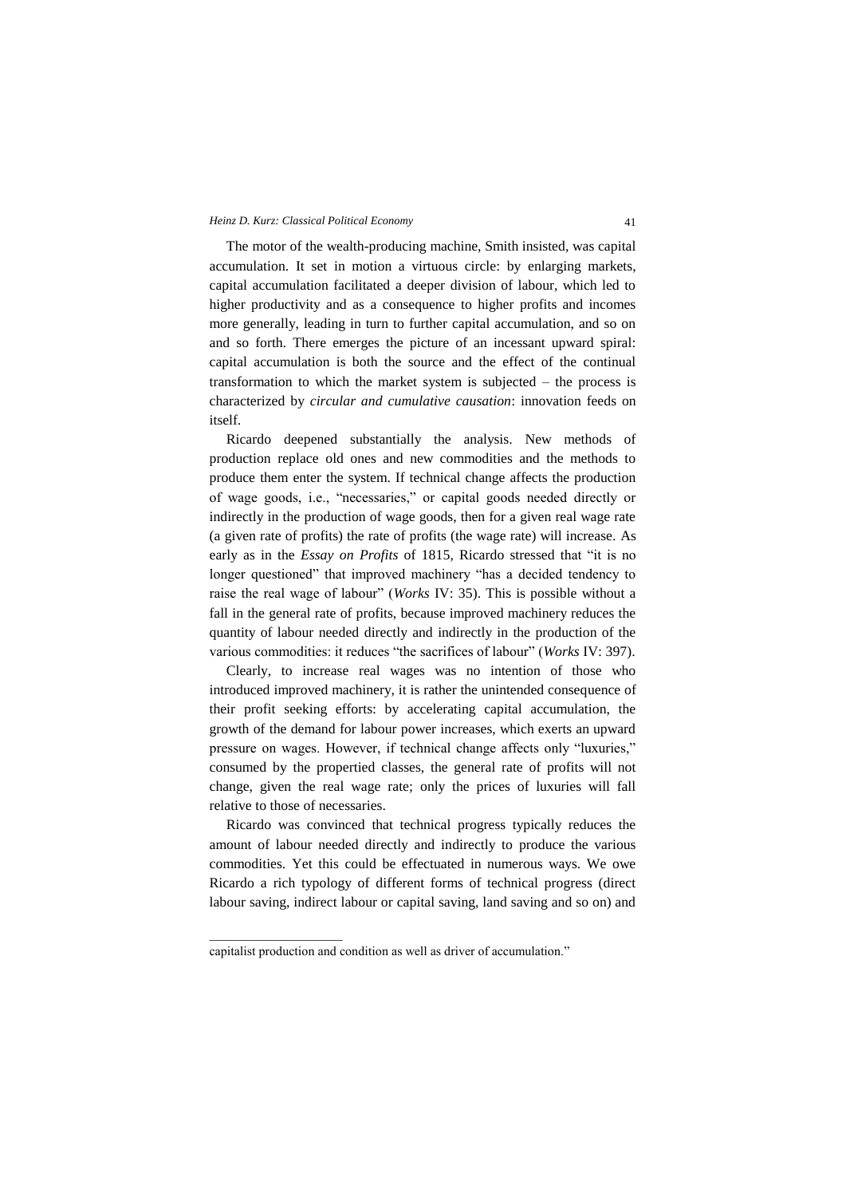The motor of the wealth-producing machine, Smith insisted, was capital accumulation. It set in motion a virtuous circle: by enlarging markets, capital accumulation facilitated a deeper division of labour, which led to higher productivity and as a consequence to higher profits and incomes more generally, leading in turn to further capital accumulation, and so on and so forth. There emerges the picture of an incessant upward spiral: capital accumulation is both the source and the effect of the continual transformation to which the market system is subjected – the process is characterized by *circular and cumulative causation*: innovation feeds on itself.

Ricardo deepened substantially the analysis. New methods of production replace old ones and new commodities and the methods to produce them enter the system. If technical change affects the production of wage goods, i.e., "necessaries," or capital goods needed directly or indirectly in the production of wage goods, then for a given real wage rate (a given rate of profits) the rate of profits (the wage rate) will increase. As early as in the *Essay on Profits* of 1815, Ricardo stressed that "it is no longer questioned" that improved machinery "has a decided tendency to raise the real wage of labour" (*Works* IV: 35). This is possible without a fall in the general rate of profits, because improved machinery reduces the quantity of labour needed directly and indirectly in the production of the various commodities: it reduces "the sacrifices of labour" (*Works* IV: 397).

Clearly, to increase real wages was no intention of those who introduced improved machinery, it is rather the unintended consequence of their profit seeking efforts: by accelerating capital accumulation, the growth of the demand for labour power increases, which exerts an upward pressure on wages. However, if technical change affects only "luxuries," consumed by the propertied classes, the general rate of profits will not change, given the real wage rate; only the prices of luxuries will fall relative to those of necessaries.

Ricardo was convinced that technical progress typically reduces the amount of labour needed directly and indirectly to produce the various commodities. Yet this could be effectuated in numerous ways. We owe Ricardo a rich typology of different forms of technical progress (direct labour saving, indirect labour or capital saving, land saving and so on) and

 $\overline{\phantom{a}}$  ,  $\overline{\phantom{a}}$  ,  $\overline{\phantom{a}}$  ,  $\overline{\phantom{a}}$  ,  $\overline{\phantom{a}}$  ,  $\overline{\phantom{a}}$  ,  $\overline{\phantom{a}}$  ,  $\overline{\phantom{a}}$  ,  $\overline{\phantom{a}}$  ,  $\overline{\phantom{a}}$  ,  $\overline{\phantom{a}}$  ,  $\overline{\phantom{a}}$  ,  $\overline{\phantom{a}}$  ,  $\overline{\phantom{a}}$  ,  $\overline{\phantom{a}}$  ,  $\overline{\phantom{a}}$ 

capitalist production and condition as well as driver of accumulation."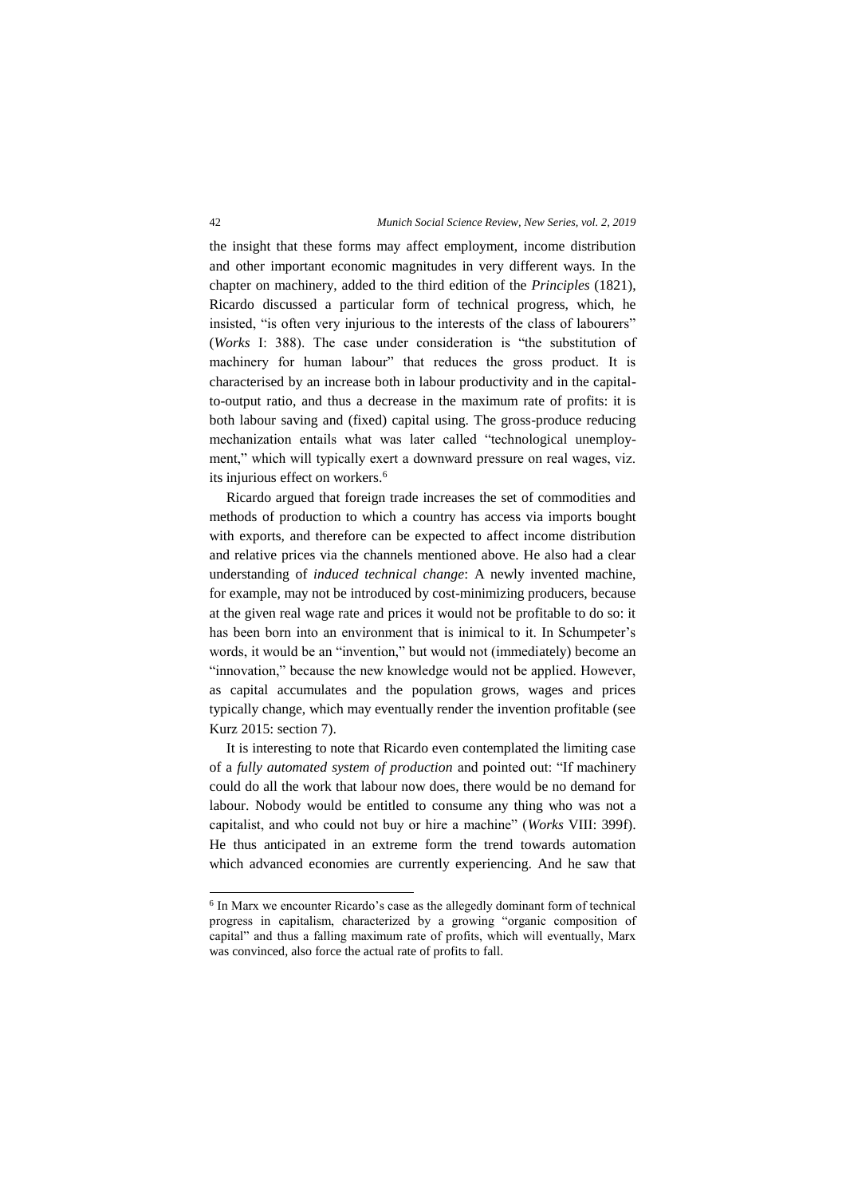the insight that these forms may affect employment, income distribution and other important economic magnitudes in very different ways. In the chapter on machinery, added to the third edition of the *Principles* (1821), Ricardo discussed a particular form of technical progress, which, he insisted, "is often very injurious to the interests of the class of labourers" (*Works* I: 388). The case under consideration is "the substitution of machinery for human labour" that reduces the gross product. It is characterised by an increase both in labour productivity and in the capitalto-output ratio, and thus a decrease in the maximum rate of profits: it is both labour saving and (fixed) capital using. The gross-produce reducing mechanization entails what was later called "technological unemployment," which will typically exert a downward pressure on real wages, viz. its injurious effect on workers.<sup>6</sup>

Ricardo argued that foreign trade increases the set of commodities and methods of production to which a country has access via imports bought with exports, and therefore can be expected to affect income distribution and relative prices via the channels mentioned above. He also had a clear understanding of *induced technical change*: A newly invented machine, for example, may not be introduced by cost-minimizing producers, because at the given real wage rate and prices it would not be profitable to do so: it has been born into an environment that is inimical to it. In Schumpeter's words, it would be an "invention," but would not (immediately) become an "innovation," because the new knowledge would not be applied. However, as capital accumulates and the population grows, wages and prices typically change, which may eventually render the invention profitable (see Kurz 2015: section 7).

It is interesting to note that Ricardo even contemplated the limiting case of a *fully automated system of production* and pointed out: "If machinery could do all the work that labour now does, there would be no demand for labour. Nobody would be entitled to consume any thing who was not a capitalist, and who could not buy or hire a machine" (*Works* VIII: 399f). He thus anticipated in an extreme form the trend towards automation which advanced economies are currently experiencing. And he saw that

-

<sup>&</sup>lt;sup>6</sup> In Marx we encounter Ricardo's case as the allegedly dominant form of technical progress in capitalism, characterized by a growing "organic composition of capital" and thus a falling maximum rate of profits, which will eventually, Marx was convinced, also force the actual rate of profits to fall.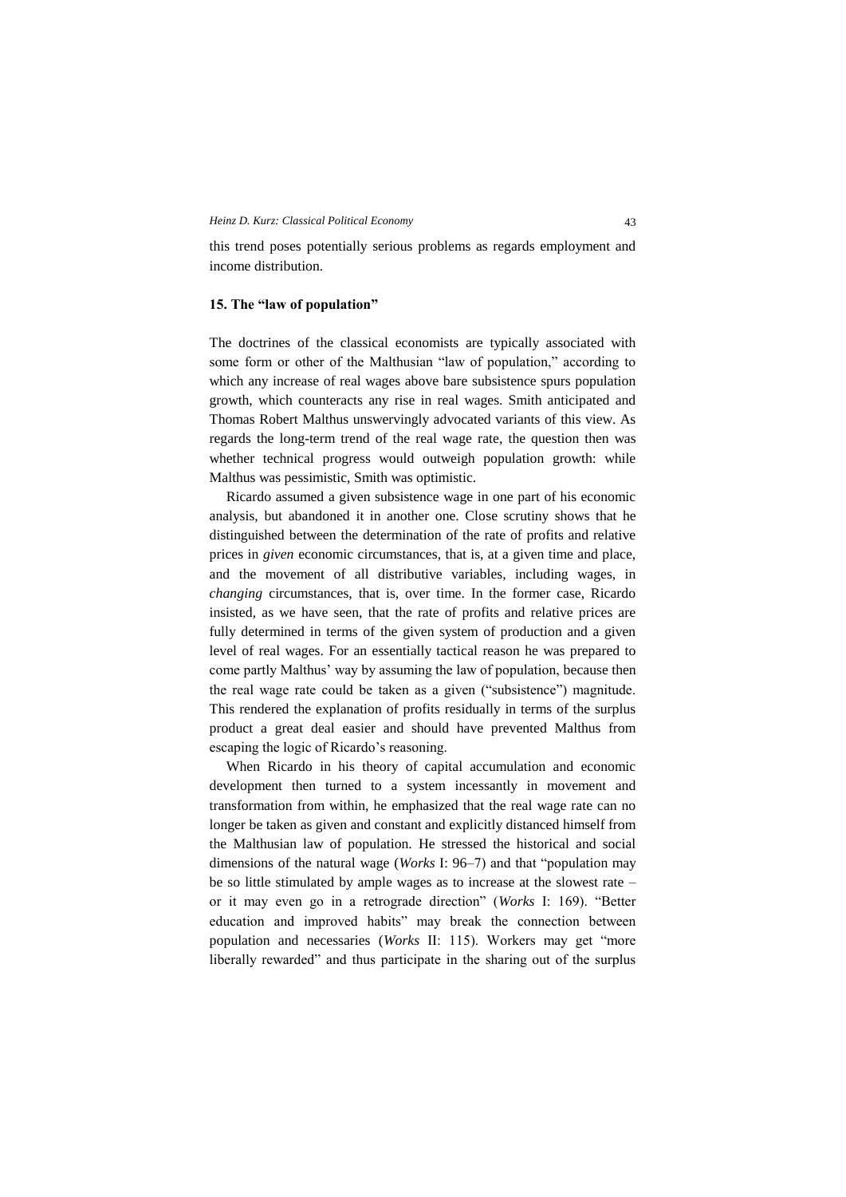this trend poses potentially serious problems as regards employment and income distribution.

# **15. The "law of population"**

The doctrines of the classical economists are typically associated with some form or other of the Malthusian "law of population," according to which any increase of real wages above bare subsistence spurs population growth, which counteracts any rise in real wages. Smith anticipated and Thomas Robert Malthus unswervingly advocated variants of this view. As regards the long-term trend of the real wage rate, the question then was whether technical progress would outweigh population growth: while Malthus was pessimistic, Smith was optimistic.

Ricardo assumed a given subsistence wage in one part of his economic analysis, but abandoned it in another one. Close scrutiny shows that he distinguished between the determination of the rate of profits and relative prices in *given* economic circumstances, that is, at a given time and place, and the movement of all distributive variables, including wages, in *changing* circumstances, that is, over time. In the former case, Ricardo insisted, as we have seen, that the rate of profits and relative prices are fully determined in terms of the given system of production and a given level of real wages. For an essentially tactical reason he was prepared to come partly Malthus' way by assuming the law of population, because then the real wage rate could be taken as a given ("subsistence") magnitude. This rendered the explanation of profits residually in terms of the surplus product a great deal easier and should have prevented Malthus from escaping the logic of Ricardo's reasoning.

When Ricardo in his theory of capital accumulation and economic development then turned to a system incessantly in movement and transformation from within, he emphasized that the real wage rate can no longer be taken as given and constant and explicitly distanced himself from the Malthusian law of population. He stressed the historical and social dimensions of the natural wage (*Works* I: 96–7) and that "population may be so little stimulated by ample wages as to increase at the slowest rate – or it may even go in a retrograde direction" (*Works* I: 169). "Better education and improved habits" may break the connection between population and necessaries (*Works* II: 115). Workers may get "more liberally rewarded" and thus participate in the sharing out of the surplus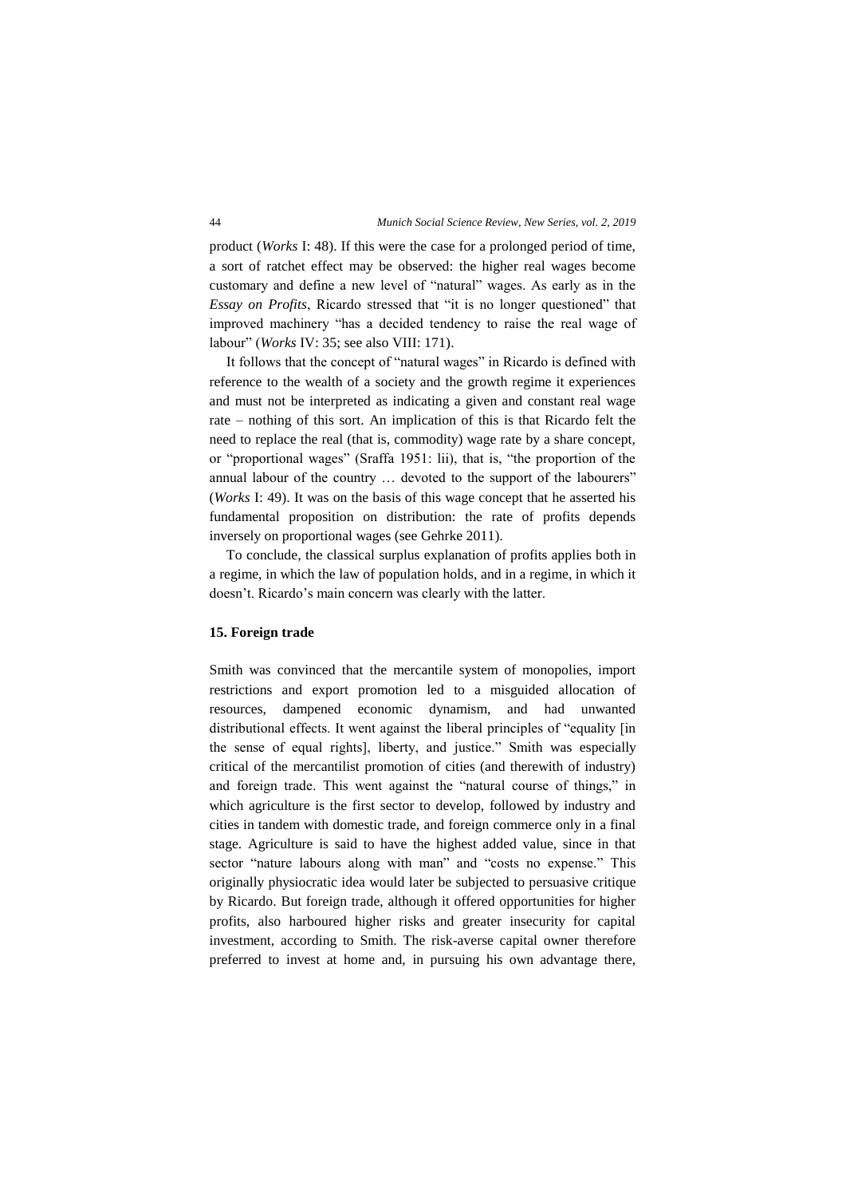product (*Works* I: 48). If this were the case for a prolonged period of time, a sort of ratchet effect may be observed: the higher real wages become customary and define a new level of "natural" wages. As early as in the *Essay on Profits*, Ricardo stressed that "it is no longer questioned" that improved machinery "has a decided tendency to raise the real wage of labour" (*Works* IV: 35; see also VIII: 171).

It follows that the concept of "natural wages" in Ricardo is defined with reference to the wealth of a society and the growth regime it experiences and must not be interpreted as indicating a given and constant real wage rate – nothing of this sort. An implication of this is that Ricardo felt the need to replace the real (that is, commodity) wage rate by a share concept, or "proportional wages" (Sraffa 1951: lii), that is, "the proportion of the annual labour of the country … devoted to the support of the labourers" (*Works* I: 49). It was on the basis of this wage concept that he asserted his fundamental proposition on distribution: the rate of profits depends inversely on proportional wages (see Gehrke 2011).

To conclude, the classical surplus explanation of profits applies both in a regime, in which the law of population holds, and in a regime, in which it doesn't. Ricardo's main concern was clearly with the latter.

## **15. Foreign trade**

Smith was convinced that the mercantile system of monopolies, import restrictions and export promotion led to a misguided allocation of resources, dampened economic dynamism, and had unwanted distributional effects. It went against the liberal principles of "equality [in the sense of equal rights], liberty, and justice." Smith was especially critical of the mercantilist promotion of cities (and therewith of industry) and foreign trade. This went against the "natural course of things," in which agriculture is the first sector to develop, followed by industry and cities in tandem with domestic trade, and foreign commerce only in a final stage. Agriculture is said to have the highest added value, since in that sector "nature labours along with man" and "costs no expense." This originally physiocratic idea would later be subjected to persuasive critique by Ricardo. But foreign trade, although it offered opportunities for higher profits, also harboured higher risks and greater insecurity for capital investment, according to Smith. The risk-averse capital owner therefore preferred to invest at home and, in pursuing his own advantage there,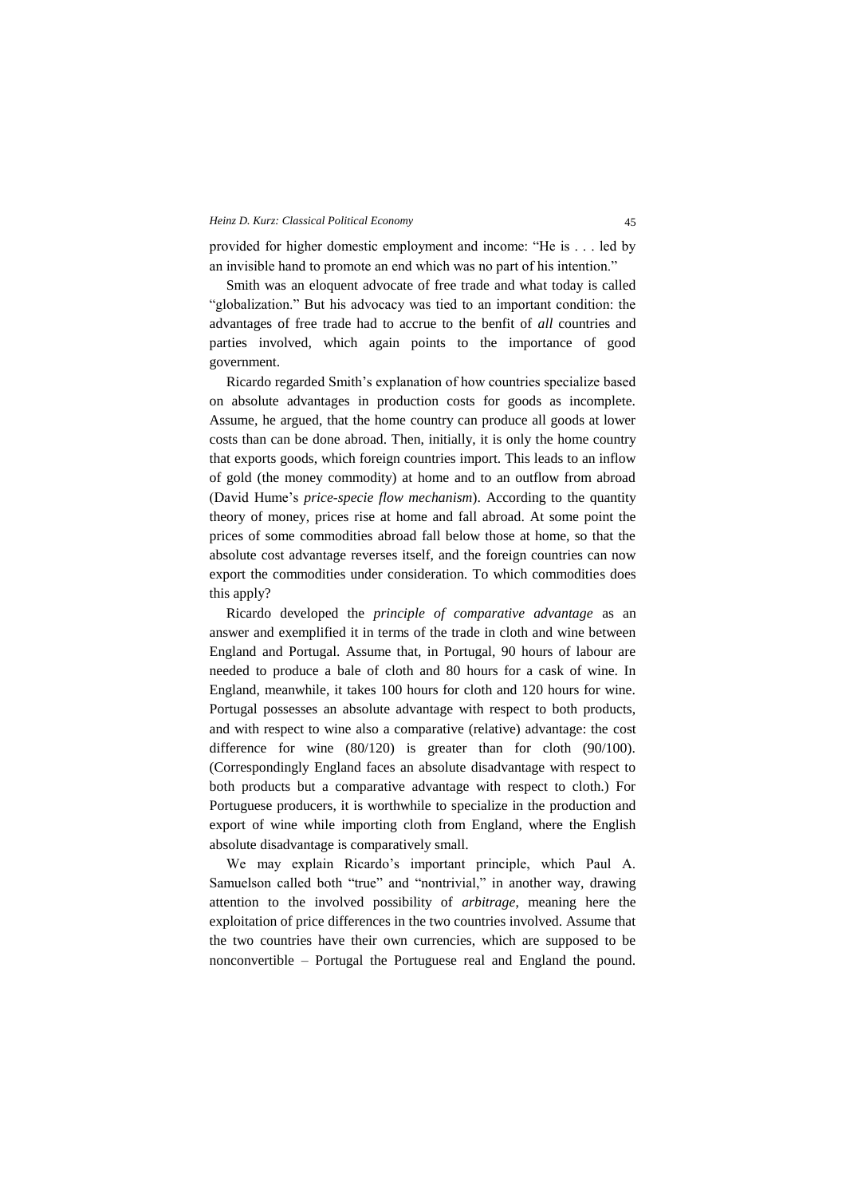provided for higher domestic employment and income: "He is . . . led by an invisible hand to promote an end which was no part of his intention."

Smith was an eloquent advocate of free trade and what today is called "globalization." But his advocacy was tied to an important condition: the advantages of free trade had to accrue to the benfit of *all* countries and parties involved, which again points to the importance of good government.

Ricardo regarded Smith's explanation of how countries specialize based on absolute advantages in production costs for goods as incomplete. Assume, he argued, that the home country can produce all goods at lower costs than can be done abroad. Then, initially, it is only the home country that exports goods, which foreign countries import. This leads to an inflow of gold (the money commodity) at home and to an outflow from abroad (David Hume's *price-specie flow mechanism*). According to the quantity theory of money, prices rise at home and fall abroad. At some point the prices of some commodities abroad fall below those at home, so that the absolute cost advantage reverses itself, and the foreign countries can now export the commodities under consideration. To which commodities does this apply?

Ricardo developed the *principle of comparative advantage* as an answer and exemplified it in terms of the trade in cloth and wine between England and Portugal. Assume that, in Portugal, 90 hours of labour are needed to produce a bale of cloth and 80 hours for a cask of wine. In England, meanwhile, it takes 100 hours for cloth and 120 hours for wine. Portugal possesses an absolute advantage with respect to both products, and with respect to wine also a comparative (relative) advantage: the cost difference for wine (80/120) is greater than for cloth (90/100). (Correspondingly England faces an absolute disadvantage with respect to both products but a comparative advantage with respect to cloth.) For Portuguese producers, it is worthwhile to specialize in the production and export of wine while importing cloth from England, where the English absolute disadvantage is comparatively small.

We may explain Ricardo's important principle, which Paul A. Samuelson called both "true" and "nontrivial," in another way, drawing attention to the involved possibility of *arbitrage*, meaning here the exploitation of price differences in the two countries involved. Assume that the two countries have their own currencies, which are supposed to be nonconvertible – Portugal the Portuguese real and England the pound.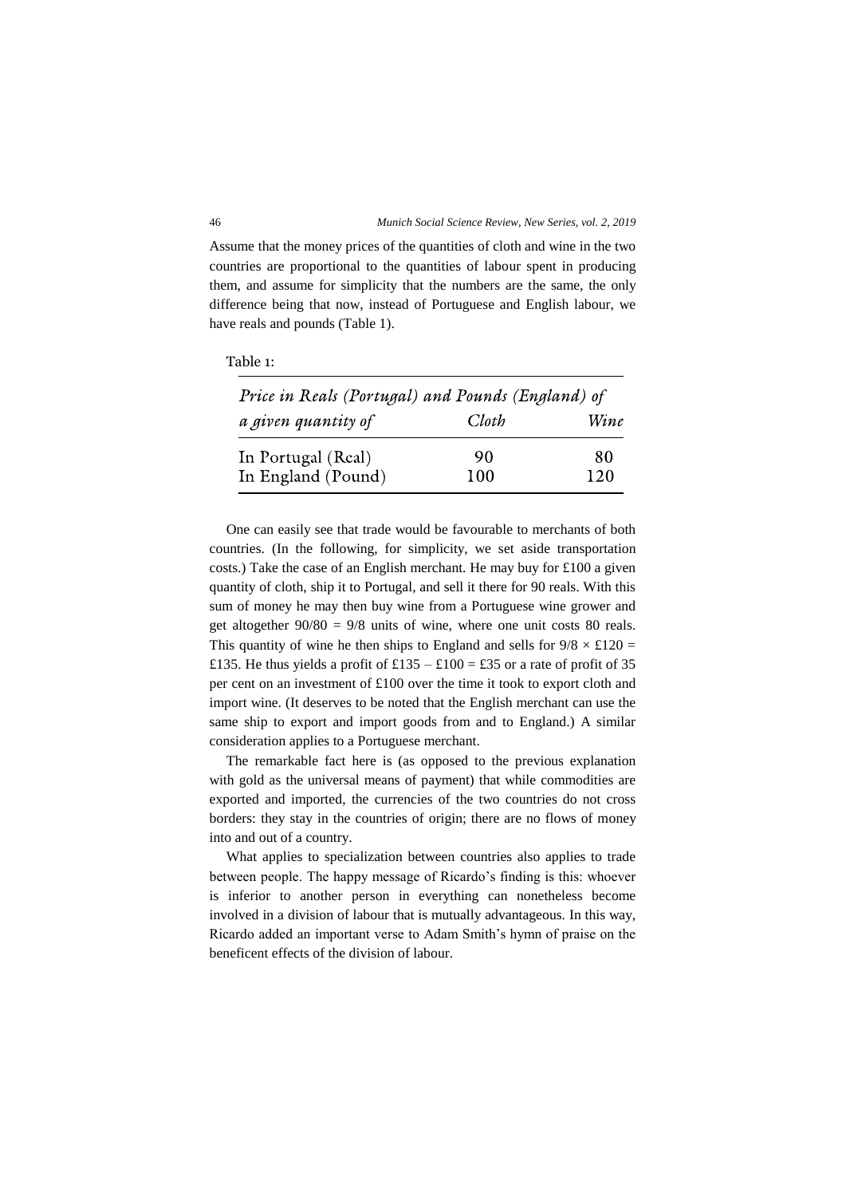Assume that the money prices of the quantities of cloth and wine in the two countries are proportional to the quantities of labour spent in producing them, and assume for simplicity that the numbers are the same, the only difference being that now, instead of Portuguese and English labour, we have reals and pounds (Table 1).

| Table 1: |  |  |
|----------|--|--|
|----------|--|--|

| Price in Reals (Portugal) and Pounds (England) of |       |      |
|---------------------------------------------------|-------|------|
| a given quantity of                               | Cloth | Wine |
| In Portugal (Real)                                | 90    | 80   |
| In England (Pound)                                | 100   | 120  |

One can easily see that trade would be favourable to merchants of both countries. (In the following, for simplicity, we set aside transportation costs.) Take the case of an English merchant. He may buy for £100 a given quantity of cloth, ship it to Portugal, and sell it there for 90 reals. With this sum of money he may then buy wine from a Portuguese wine grower and get altogether  $90/80 = 9/8$  units of wine, where one unit costs 80 reals. This quantity of wine he then ships to England and sells for  $9/8 \times \text{\pounds}120 =$ £135. He thus yields a profit of £135 – £100 = £35 or a rate of profit of 35 per cent on an investment of £100 over the time it took to export cloth and import wine. (It deserves to be noted that the English merchant can use the same ship to export and import goods from and to England.) A similar consideration applies to a Portuguese merchant.

The remarkable fact here is (as opposed to the previous explanation with gold as the universal means of payment) that while commodities are exported and imported, the currencies of the two countries do not cross borders: they stay in the countries of origin; there are no flows of money into and out of a country.

What applies to specialization between countries also applies to trade between people. The happy message of Ricardo's finding is this: whoever is inferior to another person in everything can nonetheless become involved in a division of labour that is mutually advantageous. In this way, Ricardo added an important verse to Adam Smith's hymn of praise on the beneficent effects of the division of labour.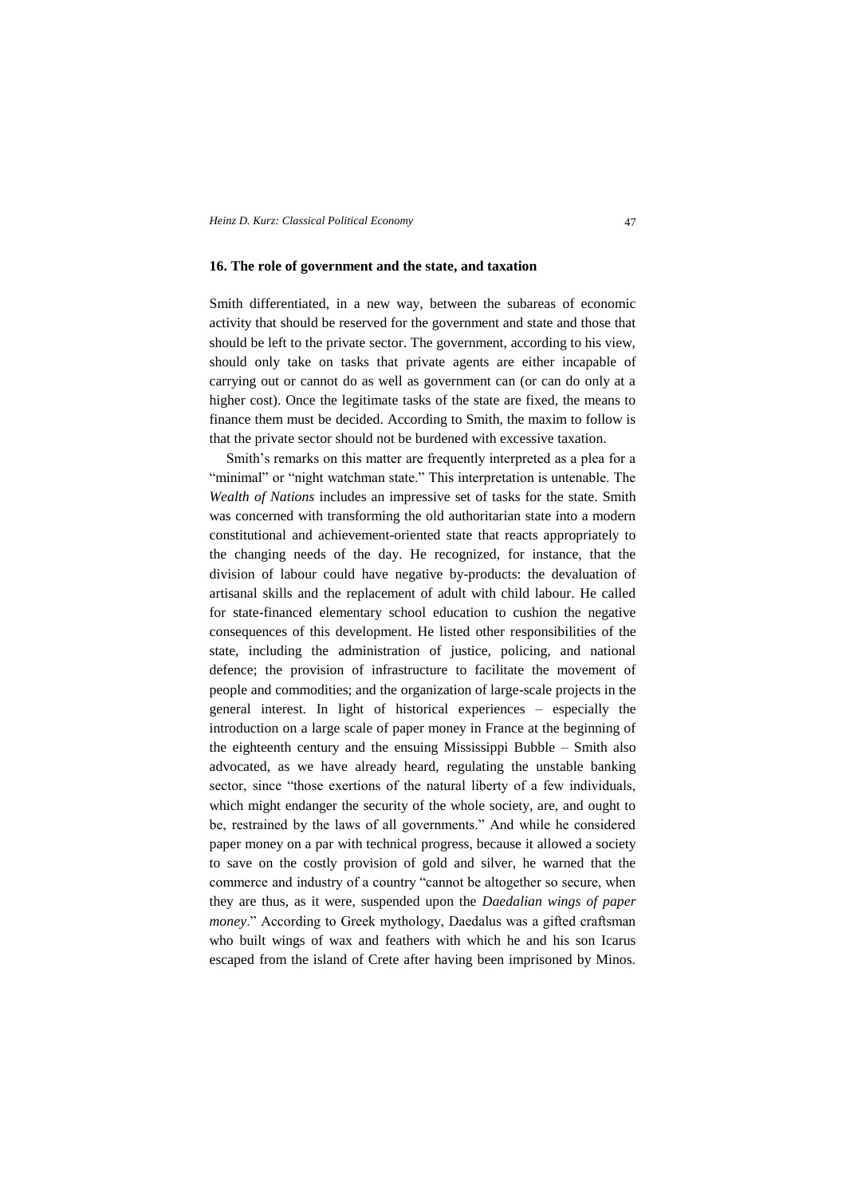### **16. The role of government and the state, and taxation**

Smith differentiated, in a new way, between the subareas of economic activity that should be reserved for the government and state and those that should be left to the private sector. The government, according to his view, should only take on tasks that private agents are either incapable of carrying out or cannot do as well as government can (or can do only at a higher cost). Once the legitimate tasks of the state are fixed, the means to finance them must be decided. According to Smith, the maxim to follow is that the private sector should not be burdened with excessive taxation.

Smith's remarks on this matter are frequently interpreted as a plea for a "minimal" or "night watchman state." This interpretation is untenable. The *Wealth of Nations* includes an impressive set of tasks for the state. Smith was concerned with transforming the old authoritarian state into a modern constitutional and achievement-oriented state that reacts appropriately to the changing needs of the day. He recognized, for instance, that the division of labour could have negative by-products: the devaluation of artisanal skills and the replacement of adult with child labour. He called for state-financed elementary school education to cushion the negative consequences of this development. He listed other responsibilities of the state, including the administration of justice, policing, and national defence; the provision of infrastructure to facilitate the movement of people and commodities; and the organization of large-scale projects in the general interest. In light of historical experiences – especially the introduction on a large scale of paper money in France at the beginning of the eighteenth century and the ensuing Mississippi Bubble – Smith also advocated, as we have already heard, regulating the unstable banking sector, since "those exertions of the natural liberty of a few individuals, which might endanger the security of the whole society, are, and ought to be, restrained by the laws of all governments." And while he considered paper money on a par with technical progress, because it allowed a society to save on the costly provision of gold and silver, he warned that the commerce and industry of a country "cannot be altogether so secure, when they are thus, as it were, suspended upon the *Daedalian wings of paper money*." According to Greek mythology, Daedalus was a gifted craftsman who built wings of wax and feathers with which he and his son Icarus escaped from the island of Crete after having been imprisoned by Minos.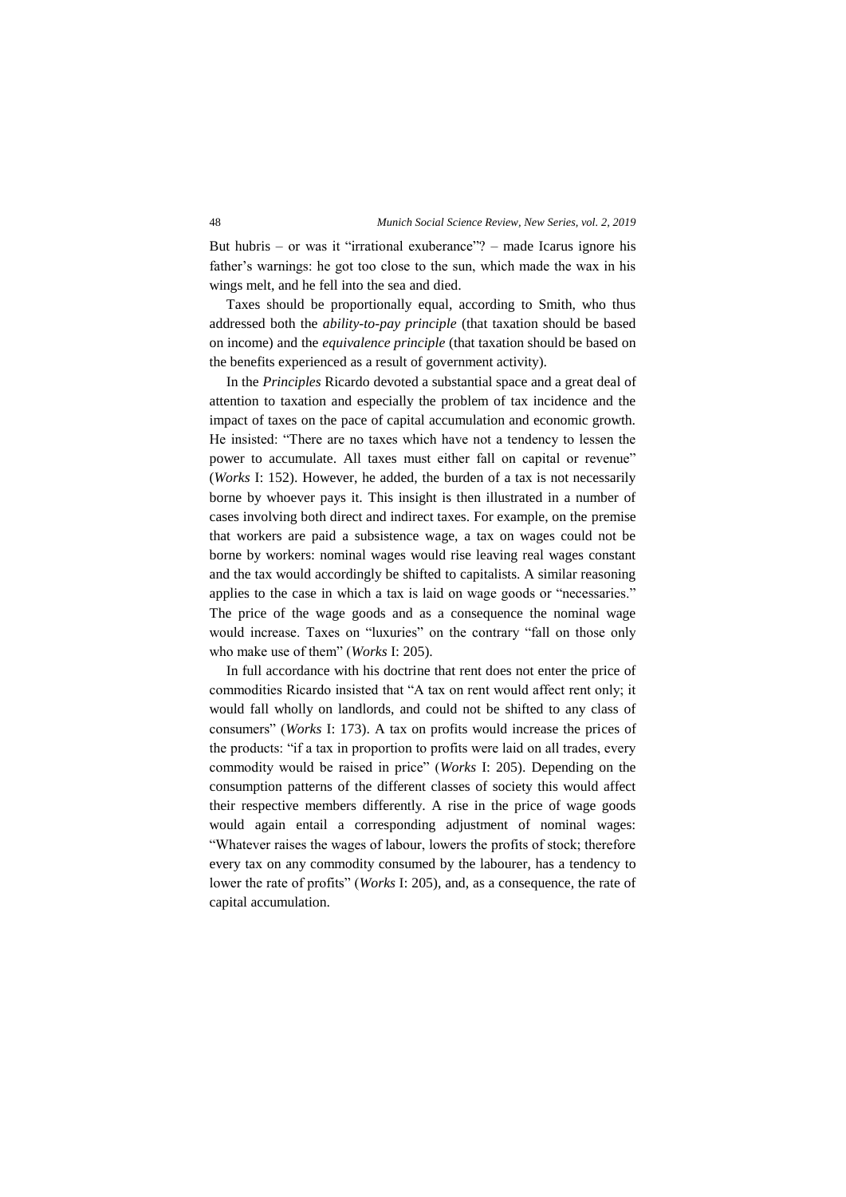But hubris – or was it "irrational exuberance"? – made Icarus ignore his father's warnings: he got too close to the sun, which made the wax in his wings melt, and he fell into the sea and died.

Taxes should be proportionally equal, according to Smith, who thus addressed both the *ability-to-pay principle* (that taxation should be based on income) and the *equivalence principle* (that taxation should be based on the benefits experienced as a result of government activity).

In the *Principles* Ricardo devoted a substantial space and a great deal of attention to taxation and especially the problem of tax incidence and the impact of taxes on the pace of capital accumulation and economic growth. He insisted: "There are no taxes which have not a tendency to lessen the power to accumulate. All taxes must either fall on capital or revenue" (*Works* I: 152). However, he added, the burden of a tax is not necessarily borne by whoever pays it. This insight is then illustrated in a number of cases involving both direct and indirect taxes. For example, on the premise that workers are paid a subsistence wage, a tax on wages could not be borne by workers: nominal wages would rise leaving real wages constant and the tax would accordingly be shifted to capitalists. A similar reasoning applies to the case in which a tax is laid on wage goods or "necessaries." The price of the wage goods and as a consequence the nominal wage would increase. Taxes on "luxuries" on the contrary "fall on those only who make use of them" (*Works* I: 205).

In full accordance with his doctrine that rent does not enter the price of commodities Ricardo insisted that "A tax on rent would affect rent only; it would fall wholly on landlords, and could not be shifted to any class of consumers" (*Works* I: 173). A tax on profits would increase the prices of the products: "if a tax in proportion to profits were laid on all trades, every commodity would be raised in price" (*Works* I: 205). Depending on the consumption patterns of the different classes of society this would affect their respective members differently. A rise in the price of wage goods would again entail a corresponding adjustment of nominal wages: "Whatever raises the wages of labour, lowers the profits of stock; therefore every tax on any commodity consumed by the labourer, has a tendency to lower the rate of profits" (*Works* I: 205), and, as a consequence, the rate of capital accumulation.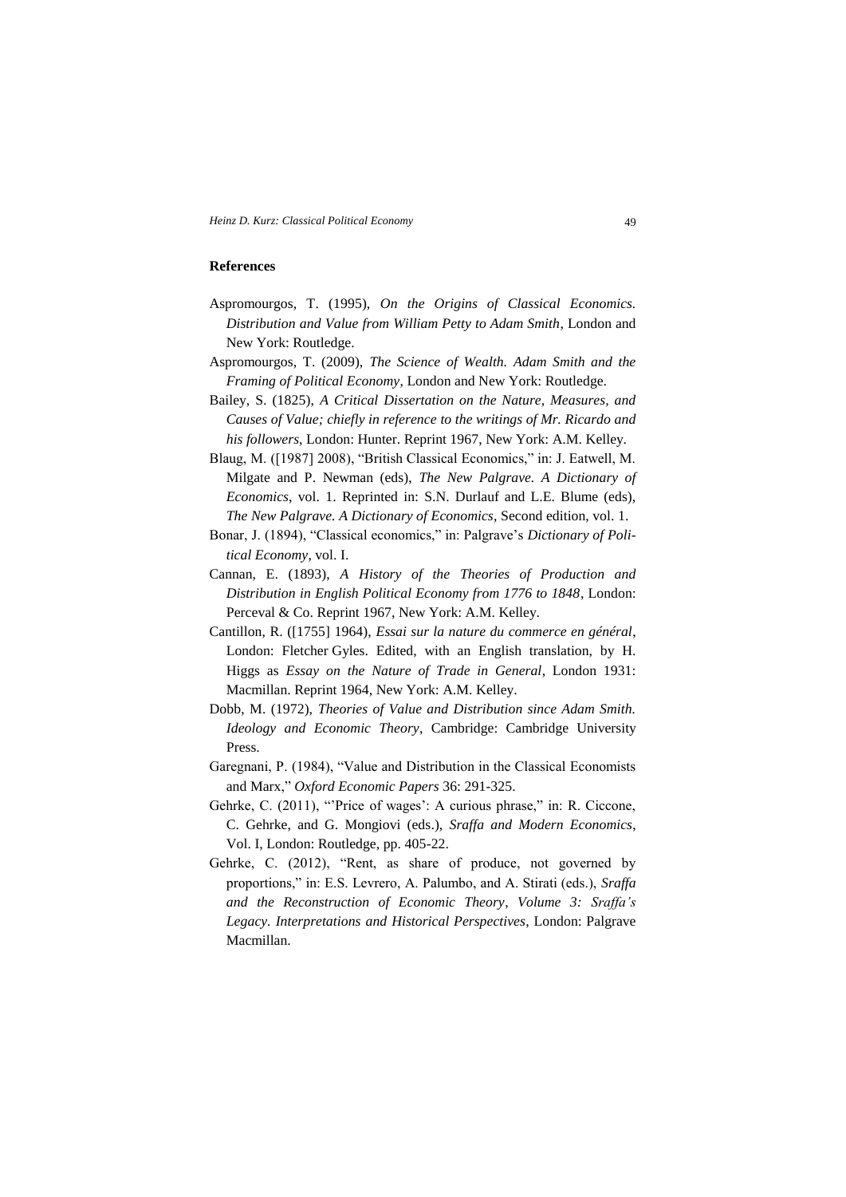### **References**

- Aspromourgos, T. (1995), *On the Origins of Classical Economics. Distribution and Value from William Petty to Adam Smith*, London and New York: Routledge.
- Aspromourgos, T. (2009), *The Science of Wealth. Adam Smith and the Framing of Political Economy*, London and New York: Routledge.
- Bailey, S. (1825), *A Critical Dissertation on the Nature, Measures, and Causes of Value; chiefly in reference to the writings of Mr. Ricardo and his followers*, London: Hunter. Reprint 1967, New York: A.M. Kelley.
- Blaug, M. ([1987] 2008), "British Classical Economics," in: J. Eatwell, M. Milgate and P. Newman (eds), *The New Palgrave. A Dictionary of Economics*, vol. 1. Reprinted in: S.N. Durlauf and L.E. Blume (eds), *The New Palgrave. A Dictionary of Economics*, Second edition, vol. 1.
- Bonar, J. (1894), "Classical economics," in: Palgrave's *Dictionary of Political Economy*, vol. I.
- Cannan, E. (1893), *A History of the Theories of Production and Distribution in English Political Economy from 1776 to 1848*, London: Perceval & Co. Reprint 1967, New York: A.M. Kelley.
- Cantillon, R. ([1755] 1964), *Essai sur la nature du commerce en général*, London: Fletcher Gyles. Edited, with an English translation, by H. Higgs as *Essay on the Nature of Trade in General*, London 1931: Macmillan. Reprint 1964, New York: A.M. Kelley.
- Dobb, M. (1972), *Theories of Value and Distribution since Adam Smith. Ideology and Economic Theory*, Cambridge: Cambridge University Press.
- Garegnani, P. (1984), "Value and Distribution in the Classical Economists and Marx," *Oxford Economic Papers* 36: 291-325.
- Gehrke, C. (2011), "'Price of wages': A curious phrase," in: R. Ciccone, C. Gehrke, and G. Mongiovi (eds.), *Sraffa and Modern Economics*, Vol. I, London: Routledge, pp. 405-22.
- Gehrke, C. (2012), "Rent, as share of produce, not governed by proportions," in: E.S. Levrero, A. Palumbo, and A. Stirati (eds.), *Sraffa and the Reconstruction of Economic Theory*, *Volume 3: Sraffa's Legacy. Interpretations and Historical Perspectives*, London: Palgrave Macmillan.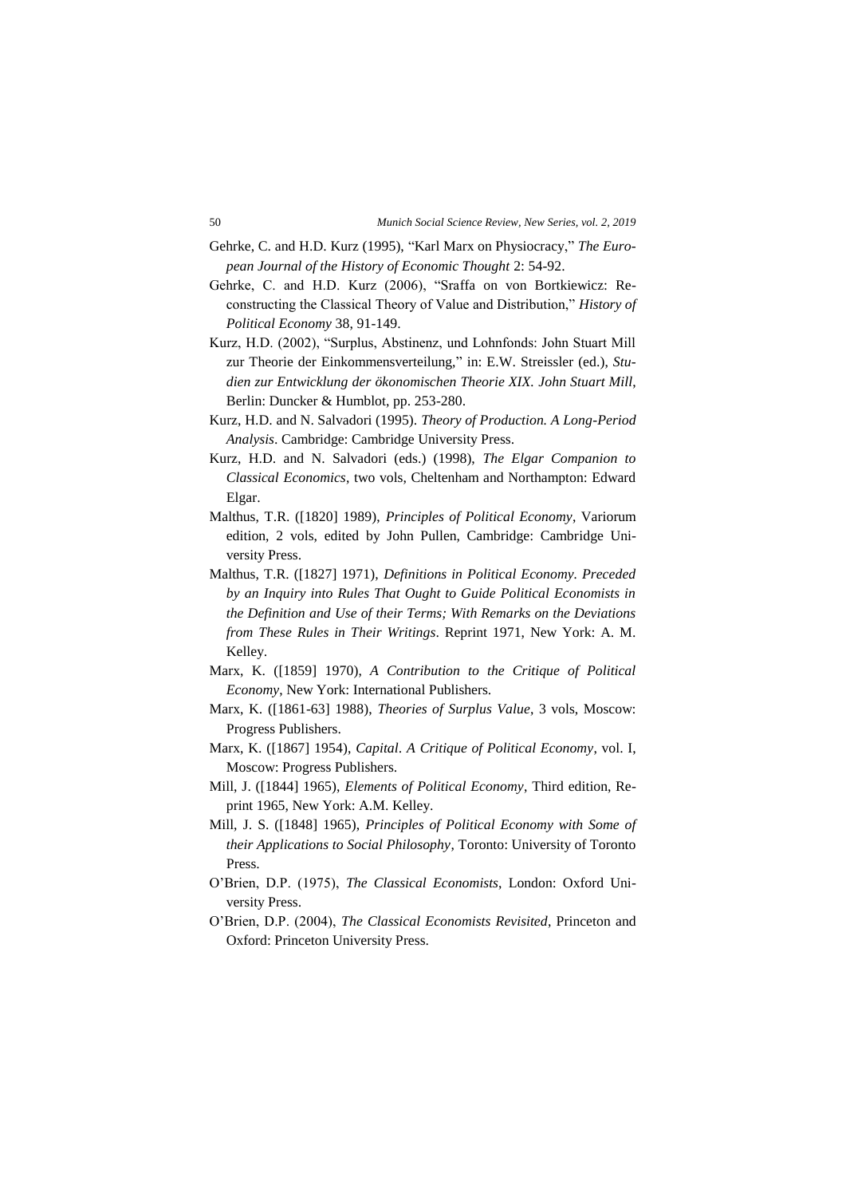- Gehrke, C. and H.D. Kurz (1995), "Karl Marx on Physiocracy," *The European Journal of the History of Economic Thought* 2: 54-92.
- Gehrke, C. and H.D. Kurz (2006), "Sraffa on von Bortkiewicz: Reconstructing the Classical Theory of Value and Distribution," *History of Political Economy* 38, 91-149.
- Kurz, H.D. (2002), "Surplus, Abstinenz, und Lohnfonds: John Stuart Mill zur Theorie der Einkommensverteilung," in: E.W. Streissler (ed.), *Studien zur Entwicklung der ökonomischen Theorie XIX. John Stuart Mill*, Berlin: Duncker & Humblot, pp. 253-280.
- Kurz, H.D. and N. Salvadori (1995). *Theory of Production. A Long-Period Analysis*. Cambridge: Cambridge University Press.
- Kurz, H.D. and N. Salvadori (eds.) (1998), *The Elgar Companion to Classical Economics*, two vols, Cheltenham and Northampton: Edward Elgar.
- Malthus, T.R. ([1820] 1989), *Principles of Political Economy*, Variorum edition, 2 vols, edited by John Pullen, Cambridge: Cambridge University Press.
- Malthus, T.R. ([1827] 1971), *Definitions in Political Economy. Preceded by an Inquiry into Rules That Ought to Guide Political Economists in the Definition and Use of their Terms; With Remarks on the Deviations from These Rules in Their Writings*. Reprint 1971, New York: A. M. Kelley.
- Marx, K. ([1859] 1970), *A Contribution to the Critique of Political Economy*, New York: International Publishers.
- Marx, K. ([1861-63] 1988), *Theories of Surplus Value*, 3 vols, Moscow: Progress Publishers.
- Marx, K. ([1867] 1954), *Capital*. *A Critique of Political Economy*, vol. I, Moscow: Progress Publishers.
- Mill, J. ([1844] 1965), *Elements of Political Economy*, Third edition, Reprint 1965, New York: A.M. Kelley.
- Mill, J. S. ([1848] 1965), *Principles of Political Economy with Some of their Applications to Social Philosophy*, Toronto: University of Toronto Press.
- O'Brien, D.P. (1975), *The Classical Economists*, London: Oxford University Press.
- O'Brien, D.P. (2004), *The Classical Economists Revisited*, Princeton and Oxford: Princeton University Press.